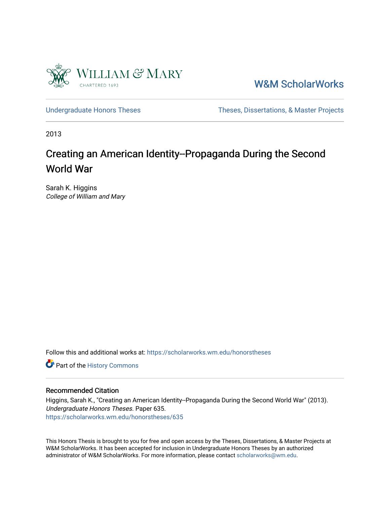

[W&M ScholarWorks](https://scholarworks.wm.edu/) 

[Undergraduate Honors Theses](https://scholarworks.wm.edu/honorstheses) Theses Theses, Dissertations, & Master Projects

2013

# Creating an American Identity--Propaganda During the Second World War

Sarah K. Higgins College of William and Mary

Follow this and additional works at: [https://scholarworks.wm.edu/honorstheses](https://scholarworks.wm.edu/honorstheses?utm_source=scholarworks.wm.edu%2Fhonorstheses%2F635&utm_medium=PDF&utm_campaign=PDFCoverPages) 

Part of the [History Commons](http://network.bepress.com/hgg/discipline/489?utm_source=scholarworks.wm.edu%2Fhonorstheses%2F635&utm_medium=PDF&utm_campaign=PDFCoverPages) 

#### Recommended Citation

Higgins, Sarah K., "Creating an American Identity--Propaganda During the Second World War" (2013). Undergraduate Honors Theses. Paper 635. [https://scholarworks.wm.edu/honorstheses/635](https://scholarworks.wm.edu/honorstheses/635?utm_source=scholarworks.wm.edu%2Fhonorstheses%2F635&utm_medium=PDF&utm_campaign=PDFCoverPages) 

This Honors Thesis is brought to you for free and open access by the Theses, Dissertations, & Master Projects at W&M ScholarWorks. It has been accepted for inclusion in Undergraduate Honors Theses by an authorized administrator of W&M ScholarWorks. For more information, please contact [scholarworks@wm.edu.](mailto:scholarworks@wm.edu)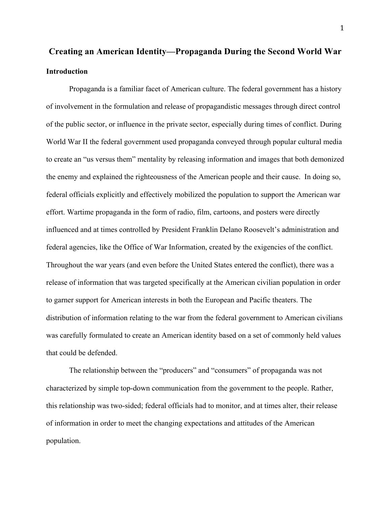## **Creating an American Identity—Propaganda During the Second World War Introduction**

Propaganda is a familiar facet of American culture. The federal government has a history of involvement in the formulation and release of propagandistic messages through direct control of the public sector, or influence in the private sector, especially during times of conflict. During World War II the federal government used propaganda conveyed through popular cultural media to create an "us versus them" mentality by releasing information and images that both demonized the enemy and explained the righteousness of the American people and their cause. In doing so, federal officials explicitly and effectively mobilized the population to support the American war effort. Wartime propaganda in the form of radio, film, cartoons, and posters were directly influenced and at times controlled by President Franklin Delano Roosevelt's administration and federal agencies, like the Office of War Information, created by the exigencies of the conflict. Throughout the war years (and even before the United States entered the conflict), there was a release of information that was targeted specifically at the American civilian population in order to garner support for American interests in both the European and Pacific theaters. The distribution of information relating to the war from the federal government to American civilians was carefully formulated to create an American identity based on a set of commonly held values that could be defended.

The relationship between the "producers" and "consumers" of propaganda was not characterized by simple top-down communication from the government to the people. Rather, this relationship was two-sided; federal officials had to monitor, and at times alter, their release of information in order to meet the changing expectations and attitudes of the American population.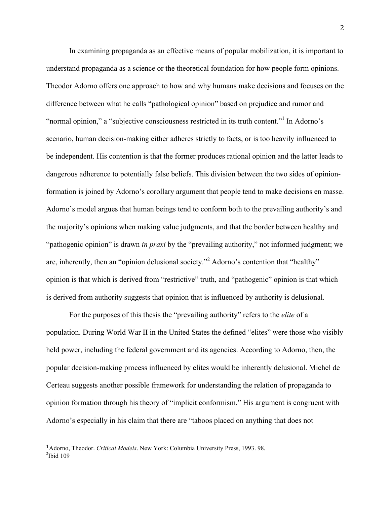In examining propaganda as an effective means of popular mobilization, it is important to understand propaganda as a science or the theoretical foundation for how people form opinions. Theodor Adorno offers one approach to how and why humans make decisions and focuses on the difference between what he calls "pathological opinion" based on prejudice and rumor and "normal opinion," a "subjective consciousness restricted in its truth content."<sup>1</sup> In Adorno's scenario, human decision-making either adheres strictly to facts, or is too heavily influenced to be independent. His contention is that the former produces rational opinion and the latter leads to dangerous adherence to potentially false beliefs. This division between the two sides of opinionformation is joined by Adorno's corollary argument that people tend to make decisions en masse. Adorno's model argues that human beings tend to conform both to the prevailing authority's and the majority's opinions when making value judgments, and that the border between healthy and "pathogenic opinion" is drawn *in praxi* by the "prevailing authority," not informed judgment; we are, inherently, then an "opinion delusional society."<sup>2</sup> Adorno's contention that "healthy" opinion is that which is derived from "restrictive" truth, and "pathogenic" opinion is that which is derived from authority suggests that opinion that is influenced by authority is delusional.

For the purposes of this thesis the "prevailing authority" refers to the *elite* of a population. During World War II in the United States the defined "elites" were those who visibly held power, including the federal government and its agencies. According to Adorno, then, the popular decision-making process influenced by elites would be inherently delusional. Michel de Certeau suggests another possible framework for understanding the relation of propaganda to opinion formation through his theory of "implicit conformism." His argument is congruent with Adorno's especially in his claim that there are "taboos placed on anything that does not

 

<sup>1</sup>Adorno, Theodor. *Critical Models*. New York: Columbia University Press, 1993. 98.

 $2$ Ibid 109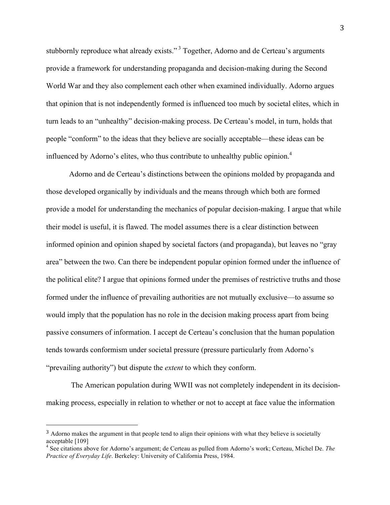stubbornly reproduce what already exists."<sup>3</sup> Together, Adorno and de Certeau's arguments provide a framework for understanding propaganda and decision-making during the Second World War and they also complement each other when examined individually. Adorno argues that opinion that is not independently formed is influenced too much by societal elites, which in turn leads to an "unhealthy" decision-making process. De Certeau's model, in turn, holds that people "conform" to the ideas that they believe are socially acceptable—these ideas can be influenced by Adorno's elites, who thus contribute to unhealthy public opinion. 4

Adorno and de Certeau's distinctions between the opinions molded by propaganda and those developed organically by individuals and the means through which both are formed provide a model for understanding the mechanics of popular decision-making. I argue that while their model is useful, it is flawed. The model assumes there is a clear distinction between informed opinion and opinion shaped by societal factors (and propaganda), but leaves no "gray area" between the two. Can there be independent popular opinion formed under the influence of the political elite? I argue that opinions formed under the premises of restrictive truths and those formed under the influence of prevailing authorities are not mutually exclusive—to assume so would imply that the population has no role in the decision making process apart from being passive consumers of information. I accept de Certeau's conclusion that the human population tends towards conformism under societal pressure (pressure particularly from Adorno's "prevailing authority") but dispute the *extent* to which they conform.

The American population during WWII was not completely independent in its decisionmaking process, especially in relation to whether or not to accept at face value the information

 

<sup>&</sup>lt;sup>3</sup> Adorno makes the argument in that people tend to align their opinions with what they believe is societally acceptable [109]

<sup>4</sup> See citations above for Adorno's argument; de Certeau as pulled from Adorno's work; Certeau, Michel De. *The Practice of Everyday Life*. Berkeley: University of California Press, 1984.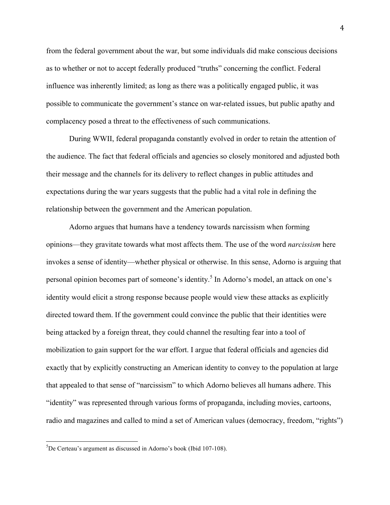from the federal government about the war, but some individuals did make conscious decisions as to whether or not to accept federally produced "truths" concerning the conflict. Federal influence was inherently limited; as long as there was a politically engaged public, it was possible to communicate the government's stance on war-related issues, but public apathy and complacency posed a threat to the effectiveness of such communications.

During WWII, federal propaganda constantly evolved in order to retain the attention of the audience. The fact that federal officials and agencies so closely monitored and adjusted both their message and the channels for its delivery to reflect changes in public attitudes and expectations during the war years suggests that the public had a vital role in defining the relationship between the government and the American population.

Adorno argues that humans have a tendency towards narcissism when forming opinions—they gravitate towards what most affects them. The use of the word *narcissism* here invokes a sense of identity—whether physical or otherwise. In this sense, Adorno is arguing that personal opinion becomes part of someone's identity. <sup>5</sup> In Adorno's model, an attack on one's identity would elicit a strong response because people would view these attacks as explicitly directed toward them. If the government could convince the public that their identities were being attacked by a foreign threat, they could channel the resulting fear into a tool of mobilization to gain support for the war effort. I argue that federal officials and agencies did exactly that by explicitly constructing an American identity to convey to the population at large that appealed to that sense of "narcissism" to which Adorno believes all humans adhere. This "identity" was represented through various forms of propaganda, including movies, cartoons, radio and magazines and called to mind a set of American values (democracy, freedom, "rights")

 <sup>5</sup> De Certeau's argument as discussed in Adorno's book (Ibid 107-108).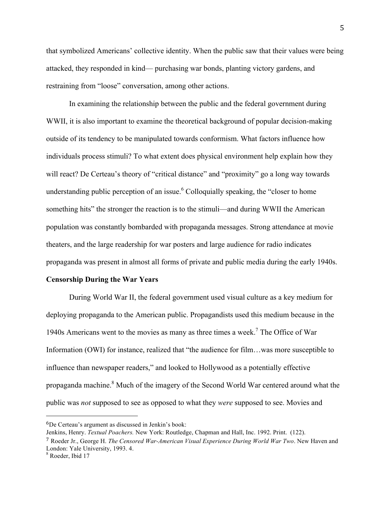that symbolized Americans' collective identity. When the public saw that their values were being attacked, they responded in kind— purchasing war bonds, planting victory gardens, and restraining from "loose" conversation, among other actions.

In examining the relationship between the public and the federal government during WWII, it is also important to examine the theoretical background of popular decision-making outside of its tendency to be manipulated towards conformism. What factors influence how individuals process stimuli? To what extent does physical environment help explain how they will react? De Certeau's theory of "critical distance" and "proximity" go a long way towards understanding public perception of an issue.<sup>6</sup> Colloquially speaking, the "closer to home something hits" the stronger the reaction is to the stimuli—and during WWII the American population was constantly bombarded with propaganda messages. Strong attendance at movie theaters, and the large readership for war posters and large audience for radio indicates propaganda was present in almost all forms of private and public media during the early 1940s.

#### **Censorship During the War Years**

During World War II, the federal government used visual culture as a key medium for deploying propaganda to the American public. Propagandists used this medium because in the 1940s Americans went to the movies as many as three times a week.7 The Office of War Information (OWI) for instance, realized that "the audience for film…was more susceptible to influence than newspaper readers," and looked to Hollywood as a potentially effective propaganda machine.<sup>8</sup> Much of the imagery of the Second World War centered around what the public was *not* supposed to see as opposed to what they *were* supposed to see. Movies and

 

<sup>6</sup>De Certeau's argument as discussed in Jenkin's book:

Jenkins, Henry. *Textual Poachers.* New York: Routledge, Chapman and Hall, Inc. 1992. Print. (122).

<sup>7</sup> Roeder Jr., George H. *The Censored War-American Visual Experience During World War Two*. New Haven and London: Yale University, 1993. 4.<br><sup>8</sup> Roeder, Ibid 17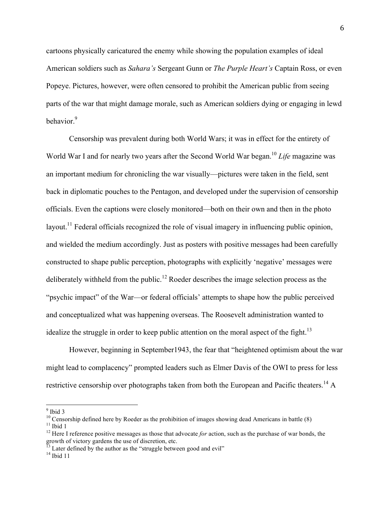cartoons physically caricatured the enemy while showing the population examples of ideal American soldiers such as *Sahara's* Sergeant Gunn or *The Purple Heart's* Captain Ross, or even Popeye. Pictures, however, were often censored to prohibit the American public from seeing parts of the war that might damage morale, such as American soldiers dying or engaging in lewd behavior.<sup>9</sup>

Censorship was prevalent during both World Wars; it was in effect for the entirety of World War I and for nearly two years after the Second World War began.<sup>10</sup> *Life* magazine was an important medium for chronicling the war visually—pictures were taken in the field, sent back in diplomatic pouches to the Pentagon, and developed under the supervision of censorship officials. Even the captions were closely monitored—both on their own and then in the photo layout.<sup>11</sup> Federal officials recognized the role of visual imagery in influencing public opinion, and wielded the medium accordingly. Just as posters with positive messages had been carefully constructed to shape public perception, photographs with explicitly 'negative' messages were deliberately withheld from the public.<sup>12</sup> Roeder describes the image selection process as the "psychic impact" of the War—or federal officials' attempts to shape how the public perceived and conceptualized what was happening overseas. The Roosevelt administration wanted to idealize the struggle in order to keep public attention on the moral aspect of the fight.<sup>13</sup>

However, beginning in September1943, the fear that "heightened optimism about the war might lead to complacency" prompted leaders such as Elmer Davis of the OWI to press for less restrictive censorship over photographs taken from both the European and Pacific theaters.<sup>14</sup> A

<sup>&</sup>lt;sup>9</sup> Ibid 3<br><sup>10</sup> Censorship defined here by Roeder as the prohibition of images showing dead Americans in battle (8)<br><sup>11</sup> Ibid 1<br><sup>12</sup> Here I reference positive messages as those that advocate *for* action, such as the purc

growth of victory gardens the use of discretion, etc.

 $^{13}$  Later defined by the author as the "struggle between good and evil"  $^{14}$  Ibid 11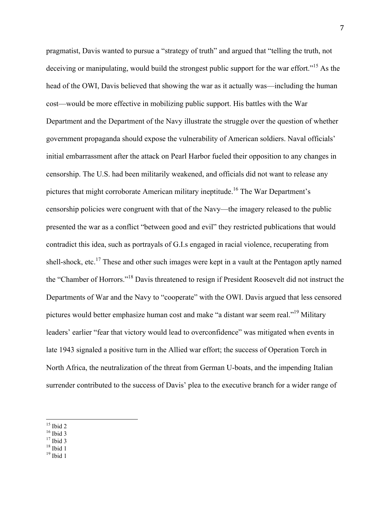pragmatist, Davis wanted to pursue a "strategy of truth" and argued that "telling the truth, not deceiving or manipulating, would build the strongest public support for the war effort."<sup>15</sup> As the head of the OWI, Davis believed that showing the war as it actually was—including the human cost—would be more effective in mobilizing public support. His battles with the War Department and the Department of the Navy illustrate the struggle over the question of whether government propaganda should expose the vulnerability of American soldiers. Naval officials' initial embarrassment after the attack on Pearl Harbor fueled their opposition to any changes in censorship. The U.S. had been militarily weakened, and officials did not want to release any pictures that might corroborate American military ineptitude.16 The War Department's censorship policies were congruent with that of the Navy—the imagery released to the public presented the war as a conflict "between good and evil" they restricted publications that would contradict this idea, such as portrayals of G.I.s engaged in racial violence, recuperating from shell-shock, etc.<sup>17</sup> These and other such images were kept in a vault at the Pentagon aptly named the "Chamber of Horrors."<sup>18</sup> Davis threatened to resign if President Roosevelt did not instruct the Departments of War and the Navy to "cooperate" with the OWI. Davis argued that less censored pictures would better emphasize human cost and make "a distant war seem real."19 Military leaders' earlier "fear that victory would lead to overconfidence" was mitigated when events in late 1943 signaled a positive turn in the Allied war effort; the success of Operation Torch in North Africa, the neutralization of the threat from German U-boats, and the impending Italian surrender contributed to the success of Davis' plea to the executive branch for a wider range of

- <sup>15</sup> Ibid 2<br><sup>16</sup> Ibid 3<br><sup>17</sup> Ibid 3<br><sup>18</sup> Ibid 1<br><sup>19</sup> Ibid 1
- 
- 

<sup>7</sup>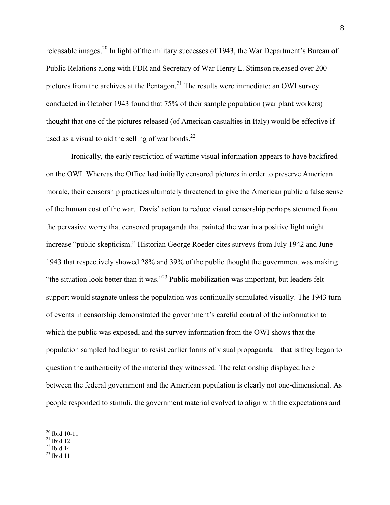releasable images.20 In light of the military successes of 1943, the War Department's Bureau of Public Relations along with FDR and Secretary of War Henry L. Stimson released over 200 pictures from the archives at the Pentagon.<sup>21</sup> The results were immediate: an OWI survey conducted in October 1943 found that 75% of their sample population (war plant workers) thought that one of the pictures released (of American casualties in Italy) would be effective if used as a visual to aid the selling of war bonds. $^{22}$ 

Ironically, the early restriction of wartime visual information appears to have backfired on the OWI. Whereas the Office had initially censored pictures in order to preserve American morale, their censorship practices ultimately threatened to give the American public a false sense of the human cost of the war. Davis' action to reduce visual censorship perhaps stemmed from the pervasive worry that censored propaganda that painted the war in a positive light might increase "public skepticism." Historian George Roeder cites surveys from July 1942 and June 1943 that respectively showed 28% and 39% of the public thought the government was making "the situation look better than it was."<sup>23</sup> Public mobilization was important, but leaders felt support would stagnate unless the population was continually stimulated visually. The 1943 turn of events in censorship demonstrated the government's careful control of the information to which the public was exposed, and the survey information from the OWI shows that the population sampled had begun to resist earlier forms of visual propaganda—that is they began to question the authenticity of the material they witnessed. The relationship displayed here between the federal government and the American population is clearly not one-dimensional. As people responded to stimuli, the government material evolved to align with the expectations and

- 
- 

 $\frac{20}{21}$  Ibid 10-11<br>  $\frac{21}{22}$  Ibid 14<br>  $\frac{22}{21}$  Ibid 14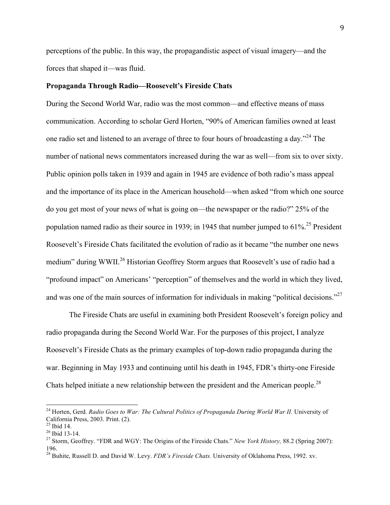perceptions of the public. In this way, the propagandistic aspect of visual imagery—and the forces that shaped it—was fluid.

#### **Propaganda Through Radio—Roosevelt's Fireside Chats**

During the Second World War, radio was the most common—and effective means of mass communication. According to scholar Gerd Horten, "90% of American families owned at least one radio set and listened to an average of three to four hours of broadcasting a day."<sup>24</sup> The number of national news commentators increased during the war as well—from six to over sixty. Public opinion polls taken in 1939 and again in 1945 are evidence of both radio's mass appeal and the importance of its place in the American household—when asked "from which one source do you get most of your news of what is going on—the newspaper or the radio?" 25% of the population named radio as their source in 1939; in 1945 that number jumped to  $61\%$ <sup>25</sup> President Roosevelt's Fireside Chats facilitated the evolution of radio as it became "the number one news medium" during WWII.<sup>26</sup> Historian Geoffrey Storm argues that Roosevelt's use of radio had a "profound impact" on Americans' "perception" of themselves and the world in which they lived, and was one of the main sources of information for individuals in making "political decisions."<sup>27</sup>

The Fireside Chats are useful in examining both President Roosevelt's foreign policy and radio propaganda during the Second World War. For the purposes of this project, I analyze Roosevelt's Fireside Chats as the primary examples of top-down radio propaganda during the war. Beginning in May 1933 and continuing until his death in 1945, FDR's thirty-one Fireside Chats helped initiate a new relationship between the president and the American people.<sup>28</sup>

<sup>&</sup>lt;sup>24</sup> Horten, Gerd. *Radio Goes to War: The Cultural Politics of Propaganda During World War II*. University of California Press, 2003. Print. (2).<br><sup>25</sup> Ibid 14.<br><sup>26</sup> Ibid 13-14.<br><sup>27</sup> Storm, Geoffrey. "FDR and WGY: The Origins of the Fireside Chats." *New York History*, 88.2 (Spring 2007):

<sup>196. 28</sup> Buhite, Russell D. and David W. Levy. *FDR's Fireside Chats.* University of Oklahoma Press, 1992. xv.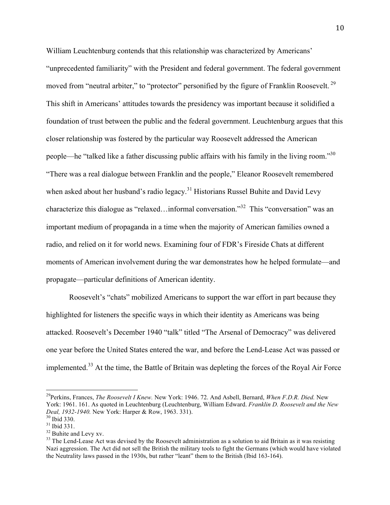William Leuchtenburg contends that this relationship was characterized by Americans' "unprecedented familiarity" with the President and federal government. The federal government moved from "neutral arbiter," to "protector" personified by the figure of Franklin Roosevelt.<sup>29</sup> This shift in Americans' attitudes towards the presidency was important because it solidified a foundation of trust between the public and the federal government. Leuchtenburg argues that this closer relationship was fostered by the particular way Roosevelt addressed the American people—he "talked like a father discussing public affairs with his family in the living room."30 "There was a real dialogue between Franklin and the people," Eleanor Roosevelt remembered when asked about her husband's radio legacy.<sup>31</sup> Historians Russel Buhite and David Levy characterize this dialogue as "relaxed…informal conversation."32 This "conversation" was an important medium of propaganda in a time when the majority of American families owned a radio, and relied on it for world news. Examining four of FDR's Fireside Chats at different moments of American involvement during the war demonstrates how he helped formulate—and propagate—particular definitions of American identity.

Roosevelt's "chats" mobilized Americans to support the war effort in part because they highlighted for listeners the specific ways in which their identity as Americans was being attacked. Roosevelt's December 1940 "talk" titled "The Arsenal of Democracy" was delivered one year before the United States entered the war, and before the Lend-Lease Act was passed or implemented.<sup>33</sup> At the time, the Battle of Britain was depleting the forces of the Royal Air Force

 29Perkins, Frances, *The Roosevelt I Knew.* New York: 1946. 72. And Asbell, Bernard, *When F.D.R. Died.* New York: 1961. 161. As quoted in Leuchtenburg (Leuchtenburg, William Edward. *Franklin D. Roosevelt and the New Deal, 1932-1940.* New York: Harper & Row, 1963. 331).<br><sup>30</sup> Ibid 330.<br><sup>31</sup> Ibid 331.<br><sup>32</sup> Buhite and Levy xv. <sup>33</sup> The Lend-Lease Act was devised by the Roosevelt administration as a solution to aid Britain as it was resis

Nazi aggression. The Act did not sell the British the military tools to fight the Germans (which would have violated the Neutrality laws passed in the 1930s, but rather "leant" them to the British (Ibid 163-164).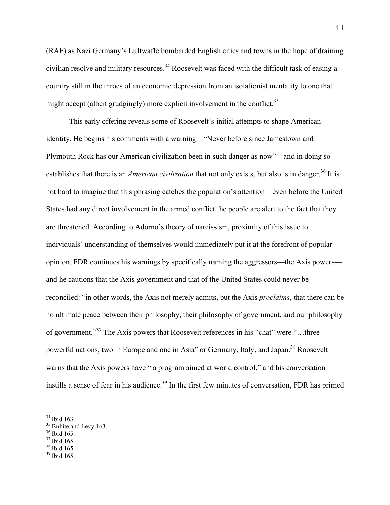(RAF) as Nazi Germany's Luftwaffe bombarded English cities and towns in the hope of draining civilian resolve and military resources.<sup>34</sup> Roosevelt was faced with the difficult task of easing a country still in the throes of an economic depression from an isolationist mentality to one that might accept (albeit grudgingly) more explicit involvement in the conflict.<sup>35</sup>

This early offering reveals some of Roosevelt's initial attempts to shape American identity. He begins his comments with a warning—"Never before since Jamestown and Plymouth Rock has our American civilization been in such danger as now"—and in doing so establishes that there is an *American civilization* that not only exists, but also is in danger.<sup>36</sup> It is not hard to imagine that this phrasing catches the population's attention—even before the United States had any direct involvement in the armed conflict the people are alert to the fact that they are threatened. According to Adorno's theory of narcissism, proximity of this issue to individuals' understanding of themselves would immediately put it at the forefront of popular opinion. FDR continues his warnings by specifically naming the aggressors—the Axis powers and he cautions that the Axis government and that of the United States could never be reconciled: "in other words, the Axis not merely admits, but the Axis *proclaims*, that there can be no ultimate peace between their philosophy, their philosophy of government, and our philosophy of government."<sup>37</sup> The Axis powers that Roosevelt references in his "chat" were "…three powerful nations, two in Europe and one in Asia" or Germany, Italy, and Japan.<sup>38</sup> Roosevelt warns that the Axis powers have " a program aimed at world control," and his conversation instills a sense of fear in his audience.<sup>39</sup> In the first few minutes of conversation, FDR has primed

<sup>&</sup>lt;sup>34</sup> Ibid 163.<br><sup>35</sup> Buhite and Levy 163.<br><sup>36</sup> Ibid 165.<br><sup>37</sup> Ibid 165.<br><sup>39</sup> Ibid 165.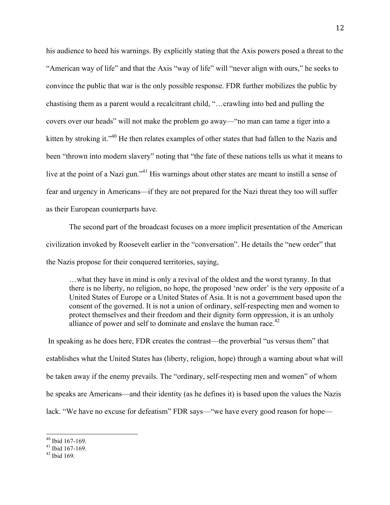his audience to heed his warnings. By explicitly stating that the Axis powers posed a threat to the "American way of life" and that the Axis "way of life" will "never align with ours," he seeks to convince the public that war is the only possible response. FDR further mobilizes the public by chastising them as a parent would a recalcitrant child, "…crawling into bed and pulling the covers over our heads" will not make the problem go away—"no man can tame a tiger into a kitten by stroking it."<sup>40</sup> He then relates examples of other states that had fallen to the Nazis and been "thrown into modern slavery" noting that "the fate of these nations tells us what it means to live at the point of a Nazi gun."<sup>41</sup> His warnings about other states are meant to instill a sense of fear and urgency in Americans—if they are not prepared for the Nazi threat they too will suffer as their European counterparts have.

The second part of the broadcast focuses on a more implicit presentation of the American civilization invoked by Roosevelt earlier in the "conversation". He details the "new order" that the Nazis propose for their conquered territories, saying,

…what they have in mind is only a revival of the oldest and the worst tyranny. In that there is no liberty, no religion, no hope, the proposed 'new order' is the very opposite of a United States of Europe or a United States of Asia. It is not a government based upon the consent of the governed. It is not a union of ordinary, self-respecting men and women to protect themselves and their freedom and their dignity form oppression, it is an unholy alliance of power and self to dominate and enslave the human race.<sup> $42$ </sup>

In speaking as he does here, FDR creates the contrast—the proverbial "us versus them" that establishes what the United States has (liberty, religion, hope) through a warning about what will be taken away if the enemy prevails. The "ordinary, self-respecting men and women" of whom he speaks are Americans—and their identity (as he defines it) is based upon the values the Nazis lack. "We have no excuse for defeatism" FDR says—"we have every good reason for hope—

 $^{40}$  Ibid 167-169.<br>  $^{41}$  Ibid 167-169.<br>  $^{42}$  Ibid 169.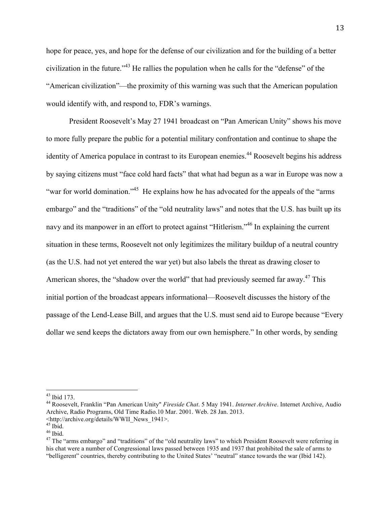hope for peace, yes, and hope for the defense of our civilization and for the building of a better civilization in the future."<sup>43</sup> He rallies the population when he calls for the "defense" of the "American civilization"—the proximity of this warning was such that the American population would identify with, and respond to, FDR's warnings.

President Roosevelt's May 27 1941 broadcast on "Pan American Unity" shows his move to more fully prepare the public for a potential military confrontation and continue to shape the identity of America populace in contrast to its European enemies.<sup>44</sup> Roosevelt begins his address by saying citizens must "face cold hard facts" that what had begun as a war in Europe was now a "war for world domination."<sup>45</sup> He explains how he has advocated for the appeals of the "arms" embargo" and the "traditions" of the "old neutrality laws" and notes that the U.S. has built up its navy and its manpower in an effort to protect against "Hitlerism."<sup>46</sup> In explaining the current situation in these terms, Roosevelt not only legitimizes the military buildup of a neutral country (as the U.S. had not yet entered the war yet) but also labels the threat as drawing closer to American shores, the "shadow over the world" that had previously seemed far away.<sup>47</sup> This initial portion of the broadcast appears informational—Roosevelt discusses the history of the passage of the Lend-Lease Bill, and argues that the U.S. must send aid to Europe because "Every dollar we send keeps the dictators away from our own hemisphere." In other words, by sending

 <sup>43</sup> Ibid 173. <sup>44</sup> Roosevelt, Franklin "Pan American Unity" *Fireside Chat*. 5 May 1941. *Internet Archive*. Internet Archive, Audio Archive, Radio Programs, Old Time Radio.10 Mar. 2001. Web. 28 Jan. 2013.

<sup>\</sup>ttp://archive.org/details/WWII\_News\_1941>.

<sup>&</sup>lt;sup>46</sup> Ibid.<br><sup>47</sup> The "arms embargo" and "traditions" of the "old neutrality laws" to which President Roosevelt were referring in his chat were a number of Congressional laws passed between 1935 and 1937 that prohibited the sale of arms to "belligerent" countries, thereby contributing to the United States' "neutral" stance towards the war (Ibid 142).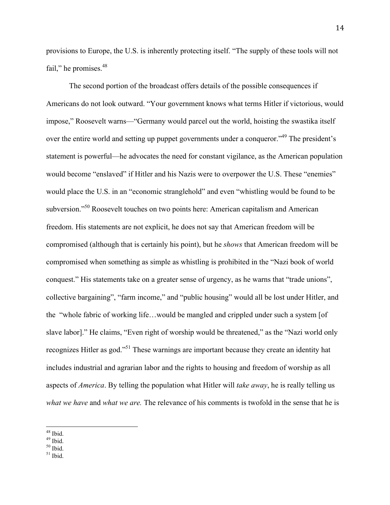provisions to Europe, the U.S. is inherently protecting itself. "The supply of these tools will not fail," he promises.<sup>48</sup>

The second portion of the broadcast offers details of the possible consequences if Americans do not look outward. "Your government knows what terms Hitler if victorious, would impose," Roosevelt warns—"Germany would parcel out the world, hoisting the swastika itself over the entire world and setting up puppet governments under a conqueror.<sup>49</sup> The president's statement is powerful—he advocates the need for constant vigilance, as the American population would become "enslaved" if Hitler and his Nazis were to overpower the U.S. These "enemies" would place the U.S. in an "economic stranglehold" and even "whistling would be found to be subversion."50 Roosevelt touches on two points here: American capitalism and American freedom. His statements are not explicit, he does not say that American freedom will be compromised (although that is certainly his point), but he *shows* that American freedom will be compromised when something as simple as whistling is prohibited in the "Nazi book of world conquest." His statements take on a greater sense of urgency, as he warns that "trade unions", collective bargaining", "farm income," and "public housing" would all be lost under Hitler, and the "whole fabric of working life…would be mangled and crippled under such a system [of slave labor]." He claims, "Even right of worship would be threatened," as the "Nazi world only recognizes Hitler as god."51 These warnings are important because they create an identity hat includes industrial and agrarian labor and the rights to housing and freedom of worship as all aspects of *America*. By telling the population what Hitler will *take away*, he is really telling us *what we have* and *what we are.* The relevance of his comments is twofold in the sense that he is

 $\frac{48}{49}$  Ibid.<br> $\frac{50}{10}$  Ibid.<br> $\frac{51}{10}$  Ibid.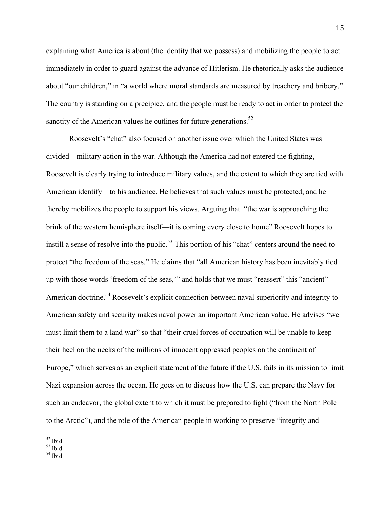explaining what America is about (the identity that we possess) and mobilizing the people to act immediately in order to guard against the advance of Hitlerism. He rhetorically asks the audience about "our children," in "a world where moral standards are measured by treachery and bribery." The country is standing on a precipice, and the people must be ready to act in order to protect the sanctity of the American values he outlines for future generations.<sup>52</sup>

Roosevelt's "chat" also focused on another issue over which the United States was divided—military action in the war. Although the America had not entered the fighting, Roosevelt is clearly trying to introduce military values, and the extent to which they are tied with American identify—to his audience. He believes that such values must be protected, and he thereby mobilizes the people to support his views. Arguing that "the war is approaching the brink of the western hemisphere itself—it is coming every close to home" Roosevelt hopes to instill a sense of resolve into the public.<sup>53</sup> This portion of his "chat" centers around the need to protect "the freedom of the seas." He claims that "all American history has been inevitably tied up with those words 'freedom of the seas,'" and holds that we must "reassert" this "ancient" American doctrine.<sup>54</sup> Roosevelt's explicit connection between naval superiority and integrity to American safety and security makes naval power an important American value. He advises "we must limit them to a land war" so that "their cruel forces of occupation will be unable to keep their heel on the necks of the millions of innocent oppressed peoples on the continent of Europe," which serves as an explicit statement of the future if the U.S. fails in its mission to limit Nazi expansion across the ocean. He goes on to discuss how the U.S. can prepare the Navy for such an endeavor, the global extent to which it must be prepared to fight ("from the North Pole to the Arctic"), and the role of the American people in working to preserve "integrity and

 $\frac{52}{53}$  Ibid.<br> $\frac{53}{54}$  Ibid.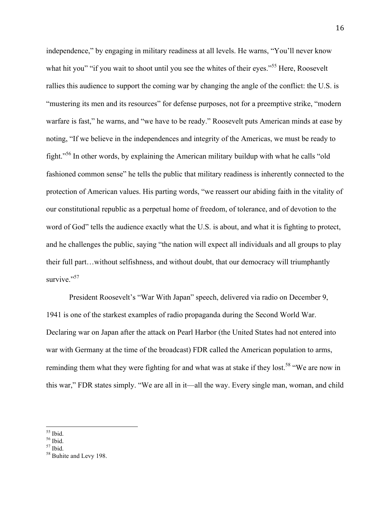independence," by engaging in military readiness at all levels. He warns, "You'll never know what hit you" "if you wait to shoot until you see the whites of their eyes."<sup>55</sup> Here, Roosevelt rallies this audience to support the coming war by changing the angle of the conflict: the U.S. is "mustering its men and its resources" for defense purposes, not for a preemptive strike, "modern warfare is fast," he warns, and "we have to be ready." Roosevelt puts American minds at ease by noting, "If we believe in the independences and integrity of the Americas, we must be ready to fight."56 In other words, by explaining the American military buildup with what he calls "old fashioned common sense" he tells the public that military readiness is inherently connected to the protection of American values. His parting words, "we reassert our abiding faith in the vitality of our constitutional republic as a perpetual home of freedom, of tolerance, and of devotion to the word of God" tells the audience exactly what the U.S. is about, and what it is fighting to protect, and he challenges the public, saying "the nation will expect all individuals and all groups to play their full part…without selfishness, and without doubt, that our democracy will triumphantly survive."<sup>57</sup>

President Roosevelt's "War With Japan" speech, delivered via radio on December 9, 1941 is one of the starkest examples of radio propaganda during the Second World War. Declaring war on Japan after the attack on Pearl Harbor (the United States had not entered into war with Germany at the time of the broadcast) FDR called the American population to arms, reminding them what they were fighting for and what was at stake if they lost.<sup>58</sup> "We are now in this war," FDR states simply. "We are all in it—all the way. Every single man, woman, and child

 $<sup>55</sup>$  Ibid.<br> $<sup>56</sup>$  Ibid.<br> $<sup>57</sup>$  Ibid.<br> $<sup>58</sup>$  Buhite and Levy 198.</sup></sup></sup></sup>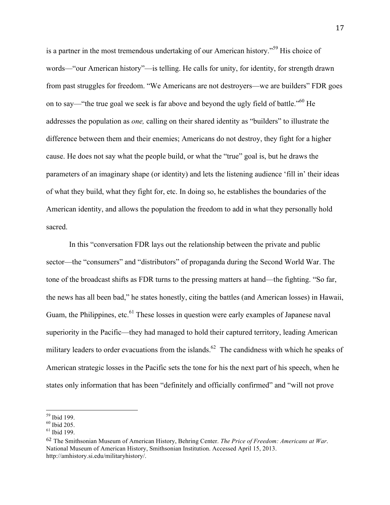is a partner in the most tremendous undertaking of our American history."<sup>59</sup> His choice of words—"our American history"—is telling. He calls for unity, for identity, for strength drawn from past struggles for freedom. "We Americans are not destroyers—we are builders" FDR goes on to say—"the true goal we seek is far above and beyond the ugly field of battle."60 He addresses the population as *one,* calling on their shared identity as "builders" to illustrate the difference between them and their enemies; Americans do not destroy, they fight for a higher cause. He does not say what the people build, or what the "true" goal is, but he draws the parameters of an imaginary shape (or identity) and lets the listening audience 'fill in' their ideas of what they build, what they fight for, etc. In doing so, he establishes the boundaries of the American identity, and allows the population the freedom to add in what they personally hold sacred.

In this "conversation FDR lays out the relationship between the private and public sector—the "consumers" and "distributors" of propaganda during the Second World War. The tone of the broadcast shifts as FDR turns to the pressing matters at hand—the fighting. "So far, the news has all been bad," he states honestly, citing the battles (and American losses) in Hawaii, Guam, the Philippines, etc.<sup>61</sup> These losses in question were early examples of Japanese naval superiority in the Pacific—they had managed to hold their captured territory, leading American military leaders to order evacuations from the islands.<sup>62</sup> The candidness with which he speaks of American strategic losses in the Pacific sets the tone for his the next part of his speech, when he states only information that has been "definitely and officially confirmed" and "will not prove

 $\frac{59}{60}$  Ibid 199.<br> $\frac{60}{61}$  Ibid 205.<br> $\frac{61}{61}$  Ibid 199.

<sup>62</sup> The Smithsonian Museum of American History, Behring Center. *The Price of Freedom: Americans at War*. National Museum of American History, Smithsonian Institution. Accessed April 15, 2013. http://amhistory.si.edu/militaryhistory/.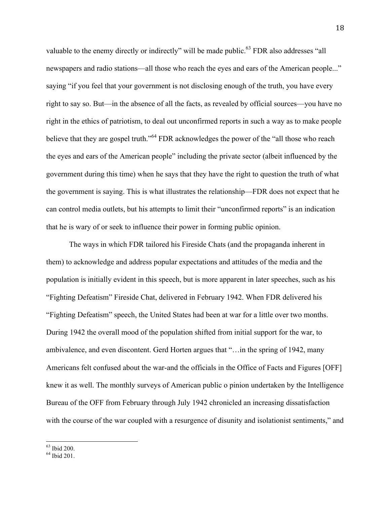valuable to the enemy directly or indirectly" will be made public.<sup>63</sup> FDR also addresses "all newspapers and radio stations—all those who reach the eyes and ears of the American people..." saying "if you feel that your government is not disclosing enough of the truth, you have every right to say so. But—in the absence of all the facts, as revealed by official sources—you have no right in the ethics of patriotism, to deal out unconfirmed reports in such a way as to make people believe that they are gospel truth."<sup>64</sup> FDR acknowledges the power of the "all those who reach the eyes and ears of the American people" including the private sector (albeit influenced by the government during this time) when he says that they have the right to question the truth of what the government is saying. This is what illustrates the relationship—FDR does not expect that he can control media outlets, but his attempts to limit their "unconfirmed reports" is an indication that he is wary of or seek to influence their power in forming public opinion.

The ways in which FDR tailored his Fireside Chats (and the propaganda inherent in them) to acknowledge and address popular expectations and attitudes of the media and the population is initially evident in this speech, but is more apparent in later speeches, such as his "Fighting Defeatism" Fireside Chat, delivered in February 1942. When FDR delivered his "Fighting Defeatism" speech, the United States had been at war for a little over two months. During 1942 the overall mood of the population shifted from initial support for the war, to ambivalence, and even discontent. Gerd Horten argues that "…in the spring of 1942, many Americans felt confused about the war-and the officials in the Office of Facts and Figures [OFF] knew it as well. The monthly surveys of American public o pinion undertaken by the Intelligence Bureau of the OFF from February through July 1942 chronicled an increasing dissatisfaction with the course of the war coupled with a resurgence of disunity and isolationist sentiments," and

 $^{63}$  Ibid 200.<br> $^{64}$  Ibid 201.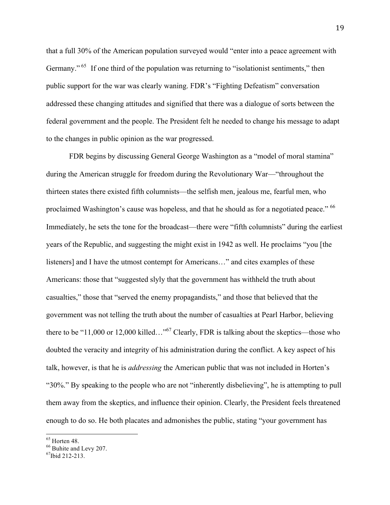that a full 30% of the American population surveyed would "enter into a peace agreement with Germany."<sup>65</sup> If one third of the population was returning to "isolationist sentiments," then public support for the war was clearly waning. FDR's "Fighting Defeatism" conversation addressed these changing attitudes and signified that there was a dialogue of sorts between the federal government and the people. The President felt he needed to change his message to adapt to the changes in public opinion as the war progressed.

FDR begins by discussing General George Washington as a "model of moral stamina" during the American struggle for freedom during the Revolutionary War—"throughout the thirteen states there existed fifth columnists—the selfish men, jealous me, fearful men, who proclaimed Washington's cause was hopeless, and that he should as for a negotiated peace." <sup>66</sup> Immediately, he sets the tone for the broadcast—there were "fifth columnists" during the earliest years of the Republic, and suggesting the might exist in 1942 as well. He proclaims "you [the listeners] and I have the utmost contempt for Americans…" and cites examples of these Americans: those that "suggested slyly that the government has withheld the truth about casualties," those that "served the enemy propagandists," and those that believed that the government was not telling the truth about the number of casualties at Pearl Harbor, believing there to be "11,000 or 12,000 killed..."<sup>67</sup> Clearly, FDR is talking about the skeptics—those who doubted the veracity and integrity of his administration during the conflict. A key aspect of his talk, however, is that he is *addressing* the American public that was not included in Horten's "30%." By speaking to the people who are not "inherently disbelieving", he is attempting to pull them away from the skeptics, and influence their opinion. Clearly, the President feels threatened enough to do so. He both placates and admonishes the public, stating "your government has

<sup>&</sup>lt;sup>65</sup> Horten 48.<br><sup>66</sup> Buhite and Levy 207.<br><sup>67</sup>Ibid 212-213.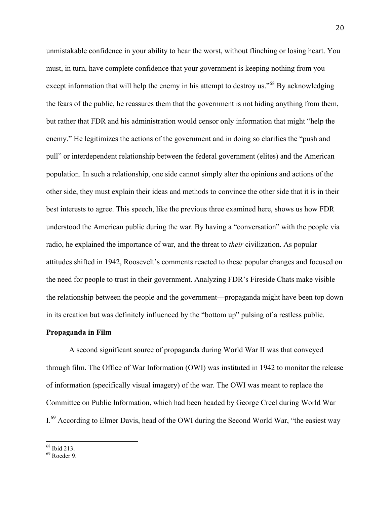unmistakable confidence in your ability to hear the worst, without flinching or losing heart. You must, in turn, have complete confidence that your government is keeping nothing from you except information that will help the enemy in his attempt to destroy us.<sup>568</sup> By acknowledging the fears of the public, he reassures them that the government is not hiding anything from them, but rather that FDR and his administration would censor only information that might "help the enemy." He legitimizes the actions of the government and in doing so clarifies the "push and pull" or interdependent relationship between the federal government (elites) and the American population. In such a relationship, one side cannot simply alter the opinions and actions of the other side, they must explain their ideas and methods to convince the other side that it is in their best interests to agree. This speech, like the previous three examined here, shows us how FDR understood the American public during the war. By having a "conversation" with the people via radio, he explained the importance of war, and the threat to *their* civilization. As popular attitudes shifted in 1942, Roosevelt's comments reacted to these popular changes and focused on the need for people to trust in their government. Analyzing FDR's Fireside Chats make visible the relationship between the people and the government—propaganda might have been top down in its creation but was definitely influenced by the "bottom up" pulsing of a restless public.

#### **Propaganda in Film**

A second significant source of propaganda during World War II was that conveyed through film. The Office of War Information (OWI) was instituted in 1942 to monitor the release of information (specifically visual imagery) of the war. The OWI was meant to replace the Committee on Public Information, which had been headed by George Creel during World War I.<sup>69</sup> According to Elmer Davis, head of the OWI during the Second World War, "the easiest way

 $^{68}$  Ibid 213.<br> $^{69}$  Roeder 9.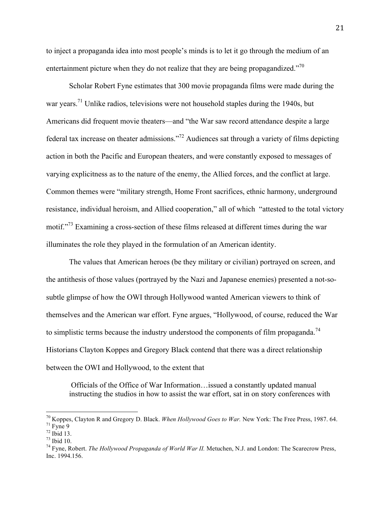to inject a propaganda idea into most people's minds is to let it go through the medium of an entertainment picture when they do not realize that they are being propagandized."<sup>70</sup>

Scholar Robert Fyne estimates that 300 movie propaganda films were made during the war years.<sup>71</sup> Unlike radios, televisions were not household staples during the 1940s, but Americans did frequent movie theaters—and "the War saw record attendance despite a large federal tax increase on theater admissions."72 Audiences sat through a variety of films depicting action in both the Pacific and European theaters, and were constantly exposed to messages of varying explicitness as to the nature of the enemy, the Allied forces, and the conflict at large. Common themes were "military strength, Home Front sacrifices, ethnic harmony, underground resistance, individual heroism, and Allied cooperation," all of which "attested to the total victory motif."<sup>73</sup> Examining a cross-section of these films released at different times during the war illuminates the role they played in the formulation of an American identity.

The values that American heroes (be they military or civilian) portrayed on screen, and the antithesis of those values (portrayed by the Nazi and Japanese enemies) presented a not-sosubtle glimpse of how the OWI through Hollywood wanted American viewers to think of themselves and the American war effort. Fyne argues, "Hollywood, of course, reduced the War to simplistic terms because the industry understood the components of film propaganda.<sup>74</sup> Historians Clayton Koppes and Gregory Black contend that there was a direct relationship between the OWI and Hollywood, to the extent that

Officials of the Office of War Information…issued a constantly updated manual instructing the studios in how to assist the war effort, sat in on story conferences with

<sup>&</sup>lt;sup>70</sup> Koppes, Clayton R and Gregory D. Black. *When Hollywood Goes to War*. New York: The Free Press, 1987. 64.<br><sup>71</sup> Fyne 9<br><sup>72</sup> Ibid 13.<br><sup>73</sup> Ibid 10.<br><sup>74</sup> Fyne, Robert. *The Hollywood Propaganda of World War II*. Metuche

Inc. 1994.156.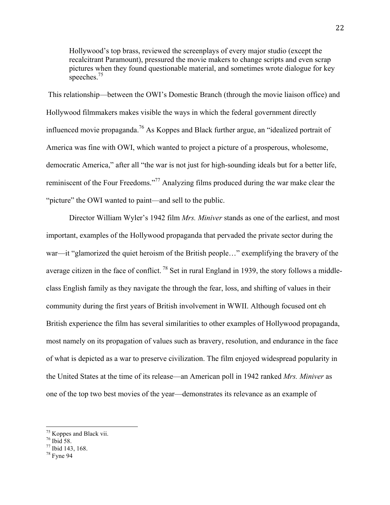Hollywood's top brass, reviewed the screenplays of every major studio (except the recalcitrant Paramount), pressured the movie makers to change scripts and even scrap pictures when they found questionable material, and sometimes wrote dialogue for key speeches.<sup>75</sup>

This relationship—between the OWI's Domestic Branch (through the movie liaison office) and Hollywood filmmakers makes visible the ways in which the federal government directly influenced movie propaganda.<sup>76</sup> As Koppes and Black further argue, an "idealized portrait of America was fine with OWI, which wanted to project a picture of a prosperous, wholesome, democratic America," after all "the war is not just for high-sounding ideals but for a better life, reminiscent of the Four Freedoms."77 Analyzing films produced during the war make clear the "picture" the OWI wanted to paint—and sell to the public.

Director William Wyler's 1942 film *Mrs. Miniver* stands as one of the earliest, and most important, examples of the Hollywood propaganda that pervaded the private sector during the war—it "glamorized the quiet heroism of the British people…" exemplifying the bravery of the average citizen in the face of conflict. <sup>78</sup> Set in rural England in 1939, the story follows a middleclass English family as they navigate the through the fear, loss, and shifting of values in their community during the first years of British involvement in WWII. Although focused ont eh British experience the film has several similarities to other examples of Hollywood propaganda, most namely on its propagation of values such as bravery, resolution, and endurance in the face of what is depicted as a war to preserve civilization. The film enjoyed widespread popularity in the United States at the time of its release—an American poll in 1942 ranked *Mrs. Miniver* as one of the top two best movies of the year—demonstrates its relevance as an example of

<sup>&</sup>lt;sup>75</sup> Koppes and Black vii.<br><sup>76</sup> Ibid 58.<br><sup>77</sup> Ibid 143, 168.<br><sup>78</sup> Fyne 94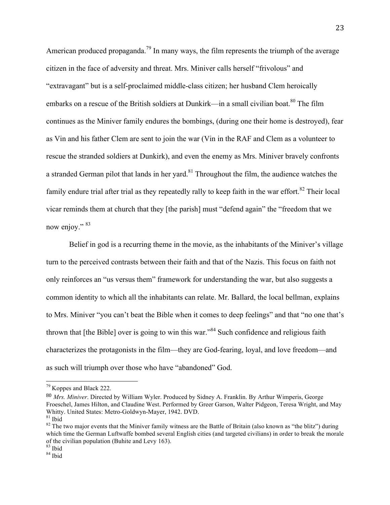American produced propaganda.<sup>79</sup> In many ways, the film represents the triumph of the average citizen in the face of adversity and threat. Mrs. Miniver calls herself "frivolous" and "extravagant" but is a self-proclaimed middle-class citizen; her husband Clem heroically embarks on a rescue of the British soldiers at Dunkirk—in a small civilian boat.<sup>80</sup> The film continues as the Miniver family endures the bombings, (during one their home is destroyed), fear as Vin and his father Clem are sent to join the war (Vin in the RAF and Clem as a volunteer to rescue the stranded soldiers at Dunkirk), and even the enemy as Mrs. Miniver bravely confronts a stranded German pilot that lands in her yard.<sup>81</sup> Throughout the film, the audience watches the family endure trial after trial as they repeatedly rally to keep faith in the war effort.<sup>82</sup> Their local vicar reminds them at church that they [the parish] must "defend again" the "freedom that we now enjoy." 83

Belief in god is a recurring theme in the movie, as the inhabitants of the Miniver's village turn to the perceived contrasts between their faith and that of the Nazis. This focus on faith not only reinforces an "us versus them" framework for understanding the war, but also suggests a common identity to which all the inhabitants can relate. Mr. Ballard, the local bellman, explains to Mrs. Miniver "you can't beat the Bible when it comes to deep feelings" and that "no one that's thrown that  $[the Bible]$  over is going to win this war.<sup>34</sup> Such confidence and religious faith characterizes the protagonists in the film—they are God-fearing, loyal, and love freedom—and as such will triumph over those who have "abandoned" God.

 <sup>79</sup> Koppes and Black 222.

<sup>80</sup> *Mrs. Miniver*. Directed by William Wyler. Produced by Sidney A. Franklin. By Arthur Wimperis, George Froeschel, James Hilton, and Claudine West. Performed by Greer Garson, Walter Pidgeon, Teresa Wright, and May Whitty. United States: Metro-Goldwyn-Mayer, 1942. DVD.<br><sup>81</sup> Ibid 82 The two major events that the Miniver family witness are the Battle of Britain (also known as "the blitz") during

which time the German Luftwaffe bombed several English cities (and targeted civilians) in order to break the morale of the civilian population (Buhite and Levy 163).<br><sup>83</sup> Ibid <sup>84</sup> Ibid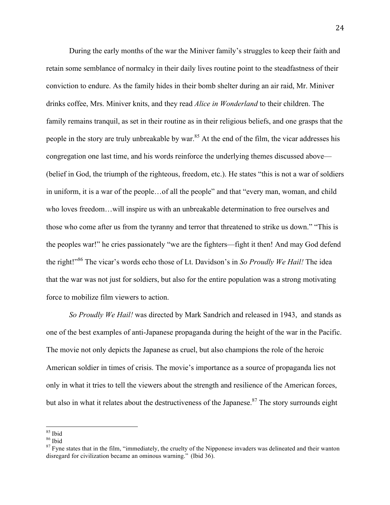During the early months of the war the Miniver family's struggles to keep their faith and retain some semblance of normalcy in their daily lives routine point to the steadfastness of their conviction to endure. As the family hides in their bomb shelter during an air raid, Mr. Miniver drinks coffee, Mrs. Miniver knits, and they read *Alice in Wonderland* to their children. The family remains tranquil, as set in their routine as in their religious beliefs, and one grasps that the people in the story are truly unbreakable by war.<sup>85</sup> At the end of the film, the vicar addresses his congregation one last time, and his words reinforce the underlying themes discussed above— (belief in God, the triumph of the righteous, freedom, etc.). He states "this is not a war of soldiers in uniform, it is a war of the people…of all the people" and that "every man, woman, and child who loves freedom…will inspire us with an unbreakable determination to free ourselves and those who come after us from the tyranny and terror that threatened to strike us down." "This is the peoples war!" he cries passionately "we are the fighters—fight it then! And may God defend the right!"<sup>86</sup> The vicar's words echo those of Lt. Davidson's in *So Proudly We Hail!* The idea that the war was not just for soldiers, but also for the entire population was a strong motivating force to mobilize film viewers to action.

*So Proudly We Hail!* was directed by Mark Sandrich and released in 1943, and stands as one of the best examples of anti-Japanese propaganda during the height of the war in the Pacific. The movie not only depicts the Japanese as cruel, but also champions the role of the heroic American soldier in times of crisis. The movie's importance as a source of propaganda lies not only in what it tries to tell the viewers about the strength and resilience of the American forces, but also in what it relates about the destructiveness of the Japanese.<sup>87</sup> The story surrounds eight

<sup>&</sup>lt;sup>85</sup> Ibid<br><sup>86</sup> Ibid<br><sup>87</sup> Fyne states that in the film, "immediately, the cruelty of the Nipponese invaders was delineated and their wanton disregard for civilization became an ominous warning." (Ibid 36).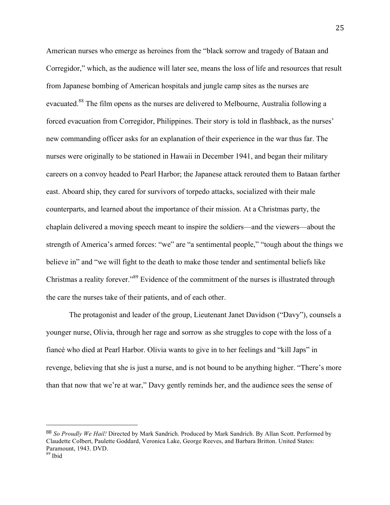American nurses who emerge as heroines from the "black sorrow and tragedy of Bataan and Corregidor," which, as the audience will later see, means the loss of life and resources that result from Japanese bombing of American hospitals and jungle camp sites as the nurses are evacuated.88 The film opens as the nurses are delivered to Melbourne, Australia following a forced evacuation from Corregidor, Philippines. Their story is told in flashback, as the nurses' new commanding officer asks for an explanation of their experience in the war thus far. The nurses were originally to be stationed in Hawaii in December 1941, and began their military careers on a convoy headed to Pearl Harbor; the Japanese attack rerouted them to Bataan farther east. Aboard ship, they cared for survivors of torpedo attacks, socialized with their male counterparts, and learned about the importance of their mission. At a Christmas party, the chaplain delivered a moving speech meant to inspire the soldiers—and the viewers—about the strength of America's armed forces: "we" are "a sentimental people," "tough about the things we believe in" and "we will fight to the death to make those tender and sentimental beliefs like Christmas a reality forever."89 Evidence of the commitment of the nurses is illustrated through the care the nurses take of their patients, and of each other.

The protagonist and leader of the group, Lieutenant Janet Davidson ("Davy"), counsels a younger nurse, Olivia, through her rage and sorrow as she struggles to cope with the loss of a fiancé who died at Pearl Harbor. Olivia wants to give in to her feelings and "kill Japs" in revenge, believing that she is just a nurse, and is not bound to be anything higher. "There's more than that now that we're at war," Davy gently reminds her, and the audience sees the sense of

 

<sup>88</sup> *So Proudly We Hail!* Directed by Mark Sandrich. Produced by Mark Sandrich. By Allan Scott. Performed by Claudette Colbert, Paulette Goddard, Veronica Lake, George Reeves, and Barbara Britton. United States: Paramount, 1943. DVD.

 $^{89}$  Ibid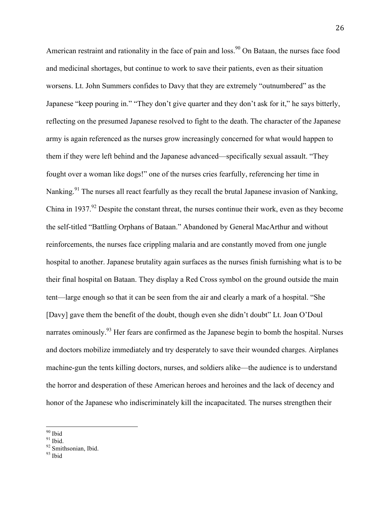American restraint and rationality in the face of pain and  $loss<sup>90</sup>$  On Bataan, the nurses face food and medicinal shortages, but continue to work to save their patients, even as their situation worsens. Lt. John Summers confides to Davy that they are extremely "outnumbered" as the Japanese "keep pouring in." "They don't give quarter and they don't ask for it," he says bitterly, reflecting on the presumed Japanese resolved to fight to the death. The character of the Japanese army is again referenced as the nurses grow increasingly concerned for what would happen to them if they were left behind and the Japanese advanced—specifically sexual assault. "They fought over a woman like dogs!" one of the nurses cries fearfully, referencing her time in Nanking.<sup>91</sup> The nurses all react fearfully as they recall the brutal Japanese invasion of Nanking, China in 1937.<sup>92</sup> Despite the constant threat, the nurses continue their work, even as they become the self-titled "Battling Orphans of Bataan." Abandoned by General MacArthur and without reinforcements, the nurses face crippling malaria and are constantly moved from one jungle hospital to another. Japanese brutality again surfaces as the nurses finish furnishing what is to be their final hospital on Bataan. They display a Red Cross symbol on the ground outside the main tent—large enough so that it can be seen from the air and clearly a mark of a hospital. "She [Davy] gave them the benefit of the doubt, though even she didn't doubt" Lt. Joan O'Doul narrates ominously.<sup>93</sup> Her fears are confirmed as the Japanese begin to bomb the hospital. Nurses and doctors mobilize immediately and try desperately to save their wounded charges. Airplanes machine-gun the tents killing doctors, nurses, and soldiers alike—the audience is to understand the horror and desperation of these American heroes and heroines and the lack of decency and honor of the Japanese who indiscriminately kill the incapacitated. The nurses strengthen their

 $\frac{90}{91}$  Ibid.<br> $\frac{92}{93}$  Smithsonian, Ibid.<br> $\frac{93}{93}$  Ibid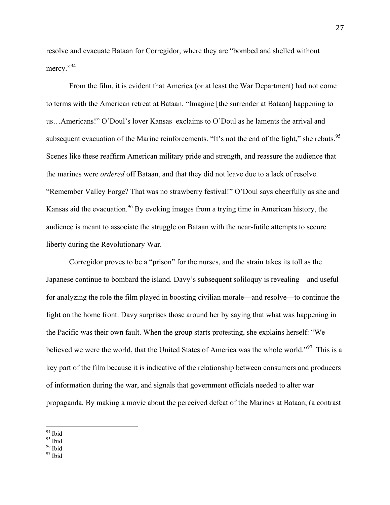resolve and evacuate Bataan for Corregidor, where they are "bombed and shelled without mercy."94

From the film, it is evident that America (or at least the War Department) had not come to terms with the American retreat at Bataan. "Imagine [the surrender at Bataan] happening to us…Americans!" O'Doul's lover Kansas exclaims to O'Doul as he laments the arrival and subsequent evacuation of the Marine reinforcements. "It's not the end of the fight," she rebuts.<sup>95</sup> Scenes like these reaffirm American military pride and strength, and reassure the audience that the marines were *ordered* off Bataan, and that they did not leave due to a lack of resolve. "Remember Valley Forge? That was no strawberry festival!" O'Doul says cheerfully as she and Kansas aid the evacuation.<sup>96</sup> By evoking images from a trying time in American history, the audience is meant to associate the struggle on Bataan with the near-futile attempts to secure liberty during the Revolutionary War.

Corregidor proves to be a "prison" for the nurses, and the strain takes its toll as the Japanese continue to bombard the island. Davy's subsequent soliloquy is revealing—and useful for analyzing the role the film played in boosting civilian morale—and resolve—to continue the fight on the home front. Davy surprises those around her by saying that what was happening in the Pacific was their own fault. When the group starts protesting, she explains herself: "We believed we were the world, that the United States of America was the whole world."<sup>97</sup> This is a key part of the film because it is indicative of the relationship between consumers and producers of information during the war, and signals that government officials needed to alter war propaganda. By making a movie about the perceived defeat of the Marines at Bataan, (a contrast

<sup>94</sup> Ibid<br><sup>95</sup> Ibid<br><sup>96</sup> Ibid<br><sup>97</sup> Ibid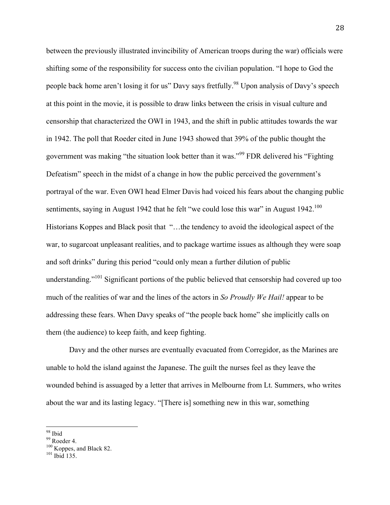between the previously illustrated invincibility of American troops during the war) officials were shifting some of the responsibility for success onto the civilian population. "I hope to God the people back home aren't losing it for us" Davy says fretfully.<sup>98</sup> Upon analysis of Davy's speech at this point in the movie, it is possible to draw links between the crisis in visual culture and censorship that characterized the OWI in 1943, and the shift in public attitudes towards the war in 1942. The poll that Roeder cited in June 1943 showed that 39% of the public thought the government was making "the situation look better than it was."<sup>99</sup> FDR delivered his "Fighting Defeatism" speech in the midst of a change in how the public perceived the government's portrayal of the war. Even OWI head Elmer Davis had voiced his fears about the changing public sentiments, saying in August 1942 that he felt "we could lose this war" in August 1942.<sup>100</sup> Historians Koppes and Black posit that "…the tendency to avoid the ideological aspect of the war, to sugarcoat unpleasant realities, and to package wartime issues as although they were soap and soft drinks" during this period "could only mean a further dilution of public understanding."<sup>101</sup> Significant portions of the public believed that censorship had covered up too much of the realities of war and the lines of the actors in *So Proudly We Hail!* appear to be addressing these fears. When Davy speaks of "the people back home" she implicitly calls on them (the audience) to keep faith, and keep fighting.

Davy and the other nurses are eventually evacuated from Corregidor, as the Marines are unable to hold the island against the Japanese. The guilt the nurses feel as they leave the wounded behind is assuaged by a letter that arrives in Melbourne from Lt. Summers, who writes about the war and its lasting legacy. "[There is] something new in this war, something

<sup>&</sup>lt;sup>98</sup> Ibid<br><sup>99</sup> Roeder 4.<br><sup>100</sup> Koppes, and Black 82.<br><sup>101</sup> Ibid 135.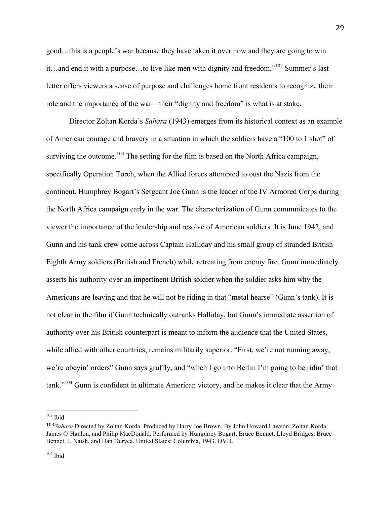good…this is a people's war because they have taken it over now and they are going to win it…and end it with a purpose…to live like men with dignity and freedom."102 Summer's last letter offers viewers a sense of purpose and challenges home front residents to recognize their role and the importance of the war—their "dignity and freedom" is what is at stake.

Director Zoltan Korda's *Sahara* (1943) emerges from its historical context as an example of American courage and bravery in a situation in which the soldiers have a "100 to 1 shot" of surviving the outcome.<sup>103</sup> The setting for the film is based on the North Africa campaign, specifically Operation Torch, when the Allied forces attempted to oust the Nazis from the continent. Humphrey Bogart's Sergeant Joe Gunn is the leader of the IV Armored Corps during the North Africa campaign early in the war. The characterization of Gunn communicates to the viewer the importance of the leadership and resolve of American soldiers. It is June 1942, and Gunn and his tank crew come across Captain Halliday and his small group of stranded British Eighth Army soldiers (British and French) while retreating from enemy fire. Gunn immediately asserts his authority over an impertinent British soldier when the soldier asks him why the Americans are leaving and that he will not be riding in that "metal hearse" (Gunn's tank). It is not clear in the film if Gunn technically outranks Halliday, but Gunn's immediate assertion of authority over his British counterpart is meant to inform the audience that the United States, while allied with other countries, remains militarily superior. "First, we're not running away, we're obeyin' orders" Gunn says gruffly, and "when I go into Berlin I'm going to be ridin' that tank."<sup>104</sup> Gunn is confident in ultimate American victory, and he makes it clear that the Army

<sup>102</sup> Ibid

<sup>103</sup>*Sahara* Directed by Zoltan Korda. Produced by Harry Joe Brown. By John Howard Lawson, Zoltan Korda, James O'Hanlon, and Philip MacDonald. Performed by Humphrey Bogart, Bruce Bennet, Lloyd Bridges, Bruce Bennet, J. Naish, and Dan Duryea. United States: Columbia, 1943. DVD.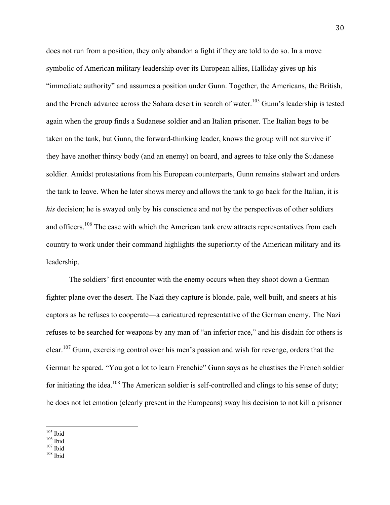does not run from a position, they only abandon a fight if they are told to do so. In a move symbolic of American military leadership over its European allies, Halliday gives up his "immediate authority" and assumes a position under Gunn. Together, the Americans, the British, and the French advance across the Sahara desert in search of water.<sup>105</sup> Gunn's leadership is tested again when the group finds a Sudanese soldier and an Italian prisoner. The Italian begs to be taken on the tank, but Gunn, the forward-thinking leader, knows the group will not survive if they have another thirsty body (and an enemy) on board, and agrees to take only the Sudanese soldier. Amidst protestations from his European counterparts, Gunn remains stalwart and orders the tank to leave. When he later shows mercy and allows the tank to go back for the Italian, it is *his* decision; he is swayed only by his conscience and not by the perspectives of other soldiers and officers.<sup>106</sup> The ease with which the American tank crew attracts representatives from each country to work under their command highlights the superiority of the American military and its leadership.

The soldiers' first encounter with the enemy occurs when they shoot down a German fighter plane over the desert. The Nazi they capture is blonde, pale, well built, and sneers at his captors as he refuses to cooperate—a caricatured representative of the German enemy. The Nazi refuses to be searched for weapons by any man of "an inferior race," and his disdain for others is clear.<sup>107</sup> Gunn, exercising control over his men's passion and wish for revenge, orders that the German be spared. "You got a lot to learn Frenchie" Gunn says as he chastises the French soldier for initiating the idea.<sup>108</sup> The American soldier is self-controlled and clings to his sense of duty; he does not let emotion (clearly present in the Europeans) sway his decision to not kill a prisoner

 $\frac{105}{106}$  Ibid  $\frac{107}{107}$  Ibid  $\frac{108}{108}$  Ibid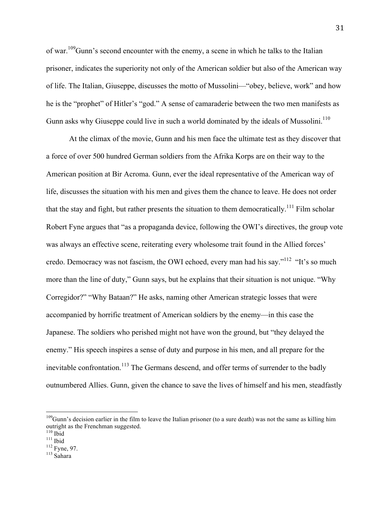of war.109Gunn's second encounter with the enemy, a scene in which he talks to the Italian prisoner, indicates the superiority not only of the American soldier but also of the American way of life. The Italian, Giuseppe, discusses the motto of Mussolini—"obey, believe, work" and how he is the "prophet" of Hitler's "god." A sense of camaraderie between the two men manifests as Gunn asks why Giuseppe could live in such a world dominated by the ideals of Mussolini.<sup>110</sup>

At the climax of the movie, Gunn and his men face the ultimate test as they discover that a force of over 500 hundred German soldiers from the Afrika Korps are on their way to the American position at Bir Acroma. Gunn, ever the ideal representative of the American way of life, discusses the situation with his men and gives them the chance to leave. He does not order that the stay and fight, but rather presents the situation to them democratically.<sup>111</sup> Film scholar Robert Fyne argues that "as a propaganda device, following the OWI's directives, the group vote was always an effective scene, reiterating every wholesome trait found in the Allied forces' credo. Democracy was not fascism, the OWI echoed, every man had his say."<sup>112</sup> "It's so much more than the line of duty," Gunn says, but he explains that their situation is not unique. "Why Corregidor?" "Why Bataan?" He asks, naming other American strategic losses that were accompanied by horrific treatment of American soldiers by the enemy—in this case the Japanese. The soldiers who perished might not have won the ground, but "they delayed the enemy." His speech inspires a sense of duty and purpose in his men, and all prepare for the inevitable confrontation.<sup>113</sup> The Germans descend, and offer terms of surrender to the badly outnumbered Allies. Gunn, given the chance to save the lives of himself and his men, steadfastly

 $109$ Gunn's decision earlier in the film to leave the Italian prisoner (to a sure death) was not the same as killing him outright as the Frenchman suggested.<br><sup>110</sup> Ibid

 $\frac{^{111}}{^{112}}$  Fyne, 97.<br> $\frac{^{113}}{^{113}}$  Sahara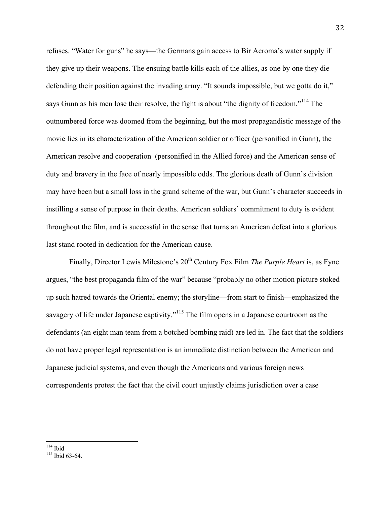refuses. "Water for guns" he says—the Germans gain access to Bir Acroma's water supply if they give up their weapons. The ensuing battle kills each of the allies, as one by one they die defending their position against the invading army. "It sounds impossible, but we gotta do it," says Gunn as his men lose their resolve, the fight is about "the dignity of freedom."<sup>114</sup> The outnumbered force was doomed from the beginning, but the most propagandistic message of the movie lies in its characterization of the American soldier or officer (personified in Gunn), the American resolve and cooperation (personified in the Allied force) and the American sense of duty and bravery in the face of nearly impossible odds. The glorious death of Gunn's division may have been but a small loss in the grand scheme of the war, but Gunn's character succeeds in instilling a sense of purpose in their deaths. American soldiers' commitment to duty is evident throughout the film, and is successful in the sense that turns an American defeat into a glorious last stand rooted in dedication for the American cause.

Finally, Director Lewis Milestone's 20<sup>th</sup> Century Fox Film *The Purple Heart* is, as Fyne argues, "the best propaganda film of the war" because "probably no other motion picture stoked up such hatred towards the Oriental enemy; the storyline—from start to finish—emphasized the savagery of life under Japanese captivity."<sup>115</sup> The film opens in a Japanese courtroom as the defendants (an eight man team from a botched bombing raid) are led in. The fact that the soldiers do not have proper legal representation is an immediate distinction between the American and Japanese judicial systems, and even though the Americans and various foreign news correspondents protest the fact that the civil court unjustly claims jurisdiction over a case

 $\frac{114}{115}$  Ibid 63-64.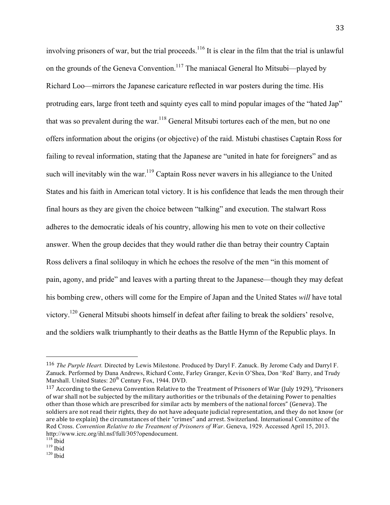involving prisoners of war, but the trial proceeds.<sup>116</sup> It is clear in the film that the trial is unlawful on the grounds of the Geneva Convention.<sup>117</sup> The maniacal General Ito Mitsubi—played by Richard Loo—mirrors the Japanese caricature reflected in war posters during the time. His protruding ears, large front teeth and squinty eyes call to mind popular images of the "hated Jap" that was so prevalent during the war.<sup>118</sup> General Mitsubi tortures each of the men, but no one offers information about the origins (or objective) of the raid. Mistubi chastises Captain Ross for failing to reveal information, stating that the Japanese are "united in hate for foreigners" and as such will inevitably win the war.<sup>119</sup> Captain Ross never wavers in his allegiance to the United States and his faith in American total victory. It is his confidence that leads the men through their final hours as they are given the choice between "talking" and execution. The stalwart Ross adheres to the democratic ideals of his country, allowing his men to vote on their collective answer. When the group decides that they would rather die than betray their country Captain Ross delivers a final soliloquy in which he echoes the resolve of the men "in this moment of pain, agony, and pride" and leaves with a parting threat to the Japanese—though they may defeat his bombing crew, others will come for the Empire of Japan and the United States *will* have total victory.120 General Mitsubi shoots himself in defeat after failing to break the soldiers' resolve, and the soldiers walk triumphantly to their deaths as the Battle Hymn of the Republic plays. In

 

<sup>116</sup> *The Purple Heart.* Directed by Lewis Milestone. Produced by Daryl F. Zanuck. By Jerome Cady and Darryl F. Zanuck. Performed by Dana Andrews, Richard Conte, Farley Granger, Kevin O'Shea, Don 'Red' Barry, and Trudy Marshall. United States:  $20^{th}$  Century Fox, 1944. DVD.

 $117$  According to the Geneva Convention Relative to the Treatment of Prisoners of War (July 1929), "Prisoners of war shall not be subjected by the military authorities or the tribunals of the detaining Power to penalties other than those which are prescribed for similar acts by members of the national forces" (Geneva). The soldiers are not read their rights, they do not have adequate judicial representation, and they do not know (or are able to explain) the circumstances of their "crimes" and arrest. Switzerland. International Committee of the Red Cross. *Convention Relative to the Treatment of Prisoners of War*. Geneva, 1929. Accessed April 15, 2013. http://www.icrc.org/ihl.nsf/full/305?opendocument.

 $\frac{119}{120}$  Ibid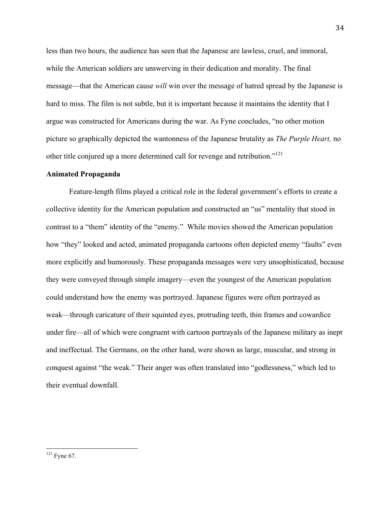less than two hours, the audience has seen that the Japanese are lawless, cruel, and immoral, while the American soldiers are unswerving in their dedication and morality. The final message—that the American cause *will* win over the message of hatred spread by the Japanese is hard to miss. The film is not subtle, but it is important because it maintains the identity that I argue was constructed for Americans during the war. As Fyne concludes, "no other motion picture so graphically depicted the wantonness of the Japanese brutality as *The Purple Heart,* no other title conjured up a more determined call for revenge and retribution."<sup>121</sup>

#### **Animated Propaganda**

Feature-length films played a critical role in the federal government's efforts to create a collective identity for the American population and constructed an "us" mentality that stood in contrast to a "them" identity of the "enemy." While movies showed the American population how "they" looked and acted, animated propaganda cartoons often depicted enemy "faults" even more explicitly and humorously. These propaganda messages were very unsophisticated, because they were conveyed through simple imagery—even the youngest of the American population could understand how the enemy was portrayed. Japanese figures were often portrayed as weak—through caricature of their squinted eyes, protruding teeth, thin frames and cowardice under fire—all of which were congruent with cartoon portrayals of the Japanese military as inept and ineffectual. The Germans, on the other hand, were shown as large, muscular, and strong in conquest against "the weak." Their anger was often translated into "godlessness," which led to their eventual downfall.

<sup>&</sup>lt;sup>121</sup> Fyne 67.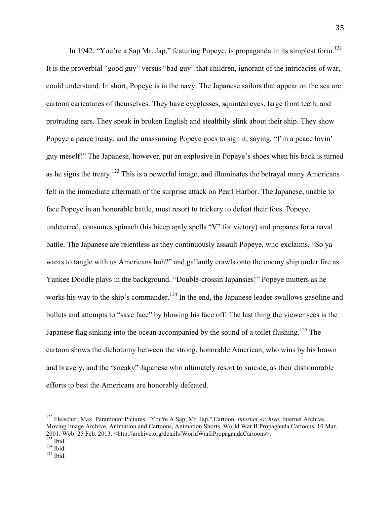In 1942, "You're a Sap Mr. Jap," featuring Popeye, is propaganda in its simplest form.<sup>122</sup> It is the proverbial "good guy" versus "bad guy" that children, ignorant of the intricacies of war, could understand. In short, Popeye is in the navy. The Japanese sailors that appear on the sea are cartoon caricatures of themselves. They have eyeglasses, squinted eyes, large front teeth, and protruding ears. They speak in broken English and stealthily slink about their ship. They show Popeye a peace treaty, and the unassuming Popeye goes to sign it, saying, "I'm a peace lovin' guy meself!" The Japanese, however, put an explosive in Popeye's shoes when his back is turned as he signs the treaty.<sup>123</sup> This is a powerful image, and illuminates the betrayal many Americans felt in the immediate aftermath of the surprise attack on Pearl Harbor. The Japanese, unable to face Popeye in an honorable battle, must resort to trickery to defeat their foes. Popeye, undeterred, consumes spinach (his bicep aptly spells "V" for victory) and prepares for a naval battle. The Japanese are relentless as they continuously assault Popeye, who exclaims, "So ya wants to tangle with us Americans huh?" and gallantly crawls onto the enemy ship under fire as Yankee Doodle plays in the background. "Double-crossin Japansies!" Popeye mutters as he works his way to the ship's commander.<sup>124</sup> In the end, the Japanese leader swallows gasoline and bullets and attempts to "save face" by blowing his face off. The last thing the viewer sees is the Japanese flag sinking into the ocean accompanied by the sound of a toilet flushing.<sup>125</sup> The cartoon shows the dichotomy between the strong, honorable American, who wins by his brawn and bravery, and the "sneaky" Japanese who ultimately resort to suicide, as their dishonorable efforts to best the Americans are honorably defeated.

 <sup>122</sup> Fleischer, Max. Paramount Pictures. "You're A Sap, Mr. Jap." Cartoon. *Internet Archive*. Internet Archive, Moving Image Archive, Animation and Cartoons, Animation Shorts, World War II Propaganda Cartoons. 10 Mar. 2001. Web. 25 Feb. 2013. <http://archive.org/details/WorldWarIiPropagandaCartoons>. 123 Ibid. 124 Ibid. 125 Ibid.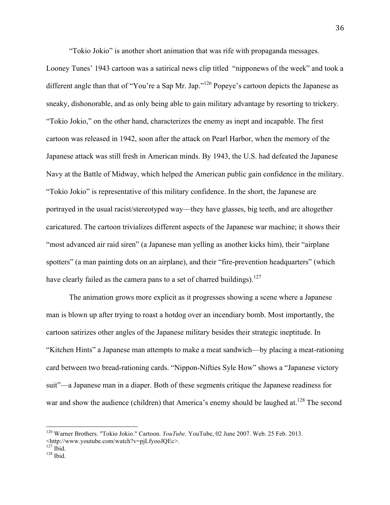"Tokio Jokio" is another short animation that was rife with propaganda messages.

Looney Tunes' 1943 cartoon was a satirical news clip titled "nipponews of the week" and took a different angle than that of "You're a Sap Mr. Jap."<sup>126</sup> Popeye's cartoon depicts the Japanese as sneaky, dishonorable, and as only being able to gain military advantage by resorting to trickery. "Tokio Jokio," on the other hand, characterizes the enemy as inept and incapable. The first cartoon was released in 1942, soon after the attack on Pearl Harbor, when the memory of the Japanese attack was still fresh in American minds. By 1943, the U.S. had defeated the Japanese Navy at the Battle of Midway, which helped the American public gain confidence in the military. "Tokio Jokio" is representative of this military confidence. In the short, the Japanese are portrayed in the usual racist/stereotyped way—they have glasses, big teeth, and are altogether caricatured. The cartoon trivializes different aspects of the Japanese war machine; it shows their "most advanced air raid siren" (a Japanese man yelling as another kicks him), their "airplane spotters" (a man painting dots on an airplane), and their "fire-prevention headquarters" (which have clearly failed as the camera pans to a set of charred buildings).<sup>127</sup>

The animation grows more explicit as it progresses showing a scene where a Japanese man is blown up after trying to roast a hotdog over an incendiary bomb. Most importantly, the cartoon satirizes other angles of the Japanese military besides their strategic ineptitude. In "Kitchen Hints" a Japanese man attempts to make a meat sandwich—by placing a meat-rationing card between two bread-rationing cards. "Nippon-Nifties Syle How" shows a "Japanese victory suit"—a Japanese man in a diaper. Both of these segments critique the Japanese readiness for war and show the audience (children) that America's enemy should be laughed at.<sup>128</sup> The second

 <sup>126</sup> Warner Brothers. "Tokio Jokio." Cartoon. *YouTube*. YouTube, 02 June 2007. Web. 25 Feb. 2013.

<sup>&</sup>lt;http://www.youtube.com/watch?v=pjLfyooJQEc>.

 $128$  Ibid.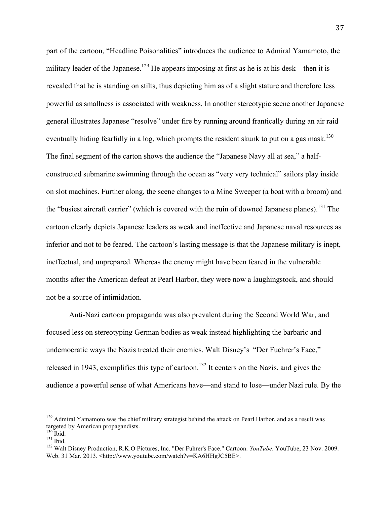part of the cartoon, "Headline Poisonalities" introduces the audience to Admiral Yamamoto, the military leader of the Japanese.<sup>129</sup> He appears imposing at first as he is at his desk—then it is revealed that he is standing on stilts, thus depicting him as of a slight stature and therefore less powerful as smallness is associated with weakness. In another stereotypic scene another Japanese general illustrates Japanese "resolve" under fire by running around frantically during an air raid eventually hiding fearfully in a log, which prompts the resident skunk to put on a gas mask.<sup>130</sup> The final segment of the carton shows the audience the "Japanese Navy all at sea," a halfconstructed submarine swimming through the ocean as "very very technical" sailors play inside on slot machines. Further along, the scene changes to a Mine Sweeper (a boat with a broom) and the "busiest aircraft carrier" (which is covered with the ruin of downed Japanese planes).131 The cartoon clearly depicts Japanese leaders as weak and ineffective and Japanese naval resources as inferior and not to be feared. The cartoon's lasting message is that the Japanese military is inept, ineffectual, and unprepared. Whereas the enemy might have been feared in the vulnerable months after the American defeat at Pearl Harbor, they were now a laughingstock, and should not be a source of intimidation.

Anti-Nazi cartoon propaganda was also prevalent during the Second World War, and focused less on stereotyping German bodies as weak instead highlighting the barbaric and undemocratic ways the Nazis treated their enemies. Walt Disney's "Der Fuehrer's Face," released in 1943, exemplifies this type of cartoon.<sup>132</sup> It centers on the Nazis, and gives the audience a powerful sense of what Americans have—and stand to lose—under Nazi rule. By the

<sup>&</sup>lt;sup>129</sup> Admiral Yamamoto was the chief military strategist behind the attack on Pearl Harbor, and as a result was targeted by American propagandists.<br><sup>130</sup> Ibid.

<sup>131</sup> Ibid.<br><sup>131</sup> Ibid. 132 Walt Disney Production, R.K.O Pictures, Inc. "Der Fuhrer's Face." Cartoon. *YouTube*. YouTube, 23 Nov. 2009. Web. 31 Mar. 2013. <http://www.youtube.com/watch?v=KA6HHgJC5BE>.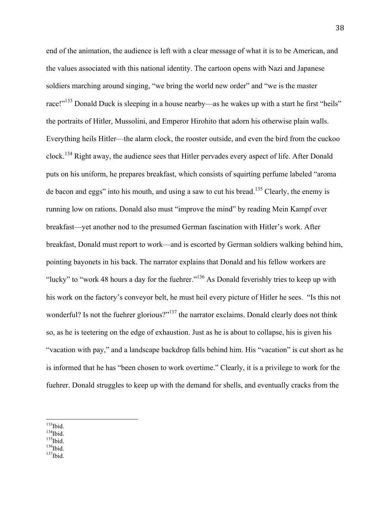end of the animation, the audience is left with a clear message of what it is to be American, and the values associated with this national identity. The cartoon opens with Nazi and Japanese soldiers marching around singing, "we bring the world new order" and "we is the master race!"<sup>133</sup> Donald Duck is sleeping in a house nearby—as he wakes up with a start he first "heils" the portraits of Hitler, Mussolini, and Emperor Hirohito that adorn his otherwise plain walls. Everything heils Hitler—the alarm clock, the rooster outside, and even the bird from the cuckoo clock.<sup>134</sup> Right away, the audience sees that Hitler pervades every aspect of life. After Donald puts on his uniform, he prepares breakfast, which consists of squirting perfume labeled "aroma de bacon and eggs" into his mouth, and using a saw to cut his bread.<sup>135</sup> Clearly, the enemy is running low on rations. Donald also must "improve the mind" by reading Mein Kampf over breakfast—yet another nod to the presumed German fascination with Hitler's work. After breakfast, Donald must report to work—and is escorted by German soldiers walking behind him, pointing bayonets in his back. The narrator explains that Donald and his fellow workers are "lucky" to "work 48 hours a day for the fuehrer."<sup>136</sup> As Donald feverishly tries to keep up with his work on the factory's conveyor belt, he must heil every picture of Hitler he sees. "Is this not wonderful? Is not the fuehrer glorious?"<sup>137</sup> the narrator exclaims. Donald clearly does not think so, as he is teetering on the edge of exhaustion. Just as he is about to collapse, his is given his "vacation with pay," and a landscape backdrop falls behind him. His "vacation" is cut short as he is informed that he has "been chosen to work overtime." Clearly, it is a privilege to work for the fuehrer. Donald struggles to keep up with the demand for shells, and eventually cracks from the

- <sup>133</sup>Ibid.<br><sup>134</sup>Ibid.<br><sup>135</sup>Ibid. <sup>135</sup>Ibid.<br><sup>136</sup>Ibid. <sup>137</sup>Ibid.
- 
-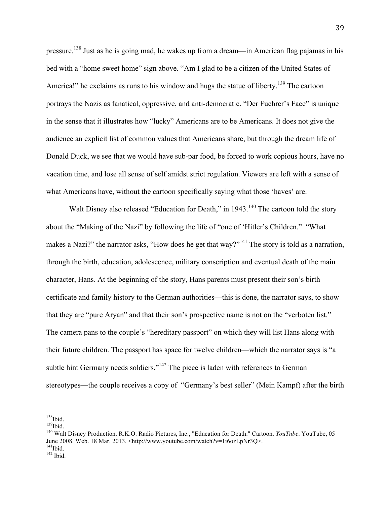pressure.138 Just as he is going mad, he wakes up from a dream—in American flag pajamas in his bed with a "home sweet home" sign above. "Am I glad to be a citizen of the United States of America!" he exclaims as runs to his window and hugs the statue of liberty.<sup>139</sup> The cartoon portrays the Nazis as fanatical, oppressive, and anti-democratic. "Der Fuehrer's Face" is unique in the sense that it illustrates how "lucky" Americans are to be Americans. It does not give the audience an explicit list of common values that Americans share, but through the dream life of Donald Duck, we see that we would have sub-par food, be forced to work copious hours, have no vacation time, and lose all sense of self amidst strict regulation. Viewers are left with a sense of what Americans have, without the cartoon specifically saying what those 'haves' are.

Walt Disney also released "Education for Death," in 1943.<sup>140</sup> The cartoon told the story about the "Making of the Nazi" by following the life of "one of 'Hitler's Children." "What makes a Nazi?" the narrator asks, "How does he get that way?"<sup>141</sup> The story is told as a narration, through the birth, education, adolescence, military conscription and eventual death of the main character, Hans. At the beginning of the story, Hans parents must present their son's birth certificate and family history to the German authorities—this is done, the narrator says, to show that they are "pure Aryan" and that their son's prospective name is not on the "verboten list." The camera pans to the couple's "hereditary passport" on which they will list Hans along with their future children. The passport has space for twelve children—which the narrator says is "a subtle hint Germany needs soldiers."<sup>142</sup> The piece is laden with references to German stereotypes—the couple receives a copy of "Germany's best seller" (Mein Kampf) after the birth

<sup>&</sup>lt;sup>138</sup>Ibid.<br><sup>139</sup>Ibid.<br><sup>140</sup> Walt Disney Production. R.K.O. Radio Pictures, Inc., "Education for Death." Cartoon. *YouTube*. YouTube, 05 June 2008. Web. 18 Mar. 2013. <http://www.youtube.com/watch?v=1i6ozLpNr3Q>. <sup>141</sup>Ibid. 142 Ibid.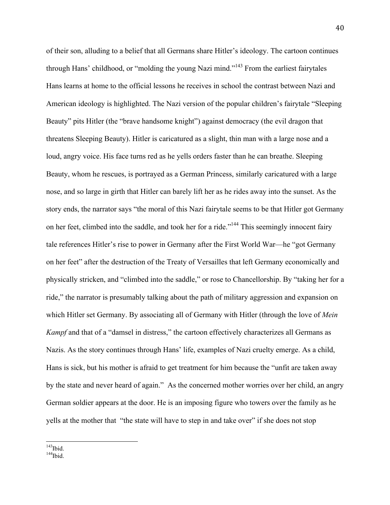of their son, alluding to a belief that all Germans share Hitler's ideology. The cartoon continues through Hans' childhood, or "molding the young Nazi mind."<sup>143</sup> From the earliest fairytales Hans learns at home to the official lessons he receives in school the contrast between Nazi and American ideology is highlighted. The Nazi version of the popular children's fairytale "Sleeping Beauty" pits Hitler (the "brave handsome knight") against democracy (the evil dragon that threatens Sleeping Beauty). Hitler is caricatured as a slight, thin man with a large nose and a loud, angry voice. His face turns red as he yells orders faster than he can breathe. Sleeping Beauty, whom he rescues, is portrayed as a German Princess, similarly caricatured with a large nose, and so large in girth that Hitler can barely lift her as he rides away into the sunset. As the story ends, the narrator says "the moral of this Nazi fairytale seems to be that Hitler got Germany on her feet, climbed into the saddle, and took her for a ride."144 This seemingly innocent fairy tale references Hitler's rise to power in Germany after the First World War—he "got Germany on her feet" after the destruction of the Treaty of Versailles that left Germany economically and physically stricken, and "climbed into the saddle," or rose to Chancellorship. By "taking her for a ride," the narrator is presumably talking about the path of military aggression and expansion on which Hitler set Germany. By associating all of Germany with Hitler (through the love of *Mein Kampf* and that of a "damsel in distress," the cartoon effectively characterizes all Germans as Nazis. As the story continues through Hans' life, examples of Nazi cruelty emerge. As a child, Hans is sick, but his mother is afraid to get treatment for him because the "unfit are taken away by the state and never heard of again." As the concerned mother worries over her child, an angry German soldier appears at the door. He is an imposing figure who towers over the family as he yells at the mother that "the state will have to step in and take over" if she does not stop

 $144$ Ibid. 144<br>Ibid.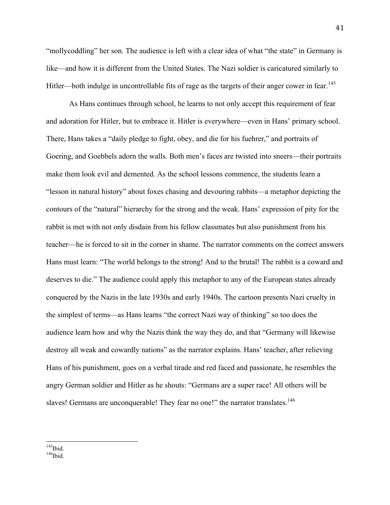"mollycoddling" her son. The audience is left with a clear idea of what "the state" in Germany is like—and how it is different from the United States. The Nazi soldier is caricatured similarly to Hitler—both indulge in uncontrollable fits of rage as the targets of their anger cower in fear.<sup>145</sup>

As Hans continues through school, he learns to not only accept this requirement of fear and adoration for Hitler, but to embrace it. Hitler is everywhere—even in Hans' primary school. There, Hans takes a "daily pledge to fight, obey, and die for his fuehrer," and portraits of Goering, and Goebbels adorn the walls. Both men's faces are twisted into sneers—their portraits make them look evil and demented. As the school lessons commence, the students learn a "lesson in natural history" about foxes chasing and devouring rabbits—a metaphor depicting the contours of the "natural" hierarchy for the strong and the weak. Hans' expression of pity for the rabbit is met with not only disdain from his fellow classmates but also punishment from his teacher—he is forced to sit in the corner in shame. The narrator comments on the correct answers Hans must learn: "The world belongs to the strong! And to the brutal! The rabbit is a coward and deserves to die." The audience could apply this metaphor to any of the European states already conquered by the Nazis in the late 1930s and early 1940s. The cartoon presents Nazi cruelty in the simplest of terms—as Hans learns "the correct Nazi way of thinking" so too does the audience learn how and why the Nazis think the way they do, and that "Germany will likewise destroy all weak and cowardly nations" as the narrator explains. Hans' teacher, after relieving Hans of his punishment, goes on a verbal tirade and red faced and passionate, he resembles the angry German soldier and Hitler as he shouts: "Germans are a super race! All others will be slaves! Germans are unconquerable! They fear no one!" the narrator translates.<sup>146</sup>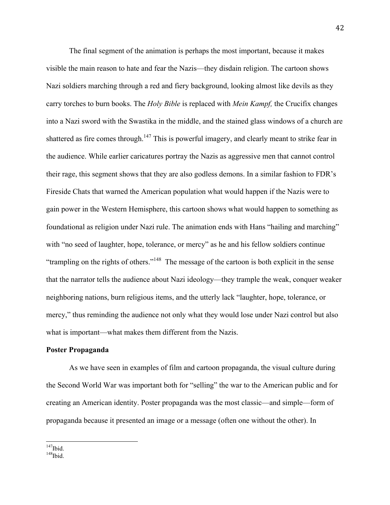The final segment of the animation is perhaps the most important, because it makes visible the main reason to hate and fear the Nazis—they disdain religion. The cartoon shows Nazi soldiers marching through a red and fiery background, looking almost like devils as they carry torches to burn books. The *Holy Bible* is replaced with *Mein Kampf,* the Crucifix changes into a Nazi sword with the Swastika in the middle, and the stained glass windows of a church are shattered as fire comes through.<sup>147</sup> This is powerful imagery, and clearly meant to strike fear in the audience. While earlier caricatures portray the Nazis as aggressive men that cannot control their rage, this segment shows that they are also godless demons. In a similar fashion to FDR's Fireside Chats that warned the American population what would happen if the Nazis were to gain power in the Western Hemisphere, this cartoon shows what would happen to something as foundational as religion under Nazi rule. The animation ends with Hans "hailing and marching" with "no seed of laughter, hope, tolerance, or mercy" as he and his fellow soldiers continue "trampling on the rights of others."148 The message of the cartoon is both explicit in the sense that the narrator tells the audience about Nazi ideology—they trample the weak, conquer weaker neighboring nations, burn religious items, and the utterly lack "laughter, hope, tolerance, or mercy," thus reminding the audience not only what they would lose under Nazi control but also what is important—what makes them different from the Nazis.

#### **Poster Propaganda**

As we have seen in examples of film and cartoon propaganda, the visual culture during the Second World War was important both for "selling" the war to the American public and for creating an American identity. Poster propaganda was the most classic—and simple—form of propaganda because it presented an image or a message (often one without the other). In

 $\prescript{147}{148}\mathrm{Ibid.}$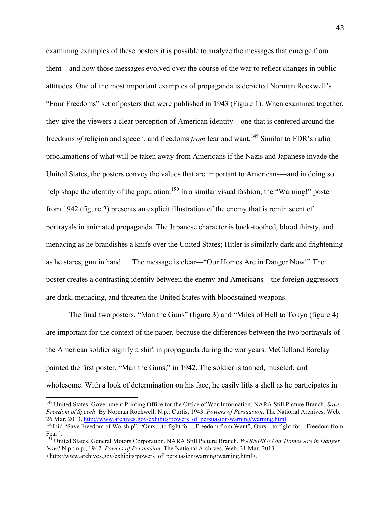examining examples of these posters it is possible to analyze the messages that emerge from them—and how those messages evolved over the course of the war to reflect changes in public attitudes. One of the most important examples of propaganda is depicted Norman Rockwell's "Four Freedoms" set of posters that were published in 1943 (Figure 1). When examined together, they give the viewers a clear perception of American identity—one that is centered around the freedoms *of* religion and speech, and freedoms *from* fear and want.<sup>149</sup> Similar to FDR's radio proclamations of what will be taken away from Americans if the Nazis and Japanese invade the United States, the posters convey the values that are important to Americans—and in doing so help shape the identity of the population.<sup>150</sup> In a similar visual fashion, the "Warning!" poster from 1942 (figure 2) presents an explicit illustration of the enemy that is reminiscent of portrayals in animated propaganda. The Japanese character is buck-toothed, blood thirsty, and menacing as he brandishes a knife over the United States; Hitler is similarly dark and frightening as he stares, gun in hand.<sup>151</sup> The message is clear—"Our Homes Are in Danger Now!" The poster creates a contrasting identity between the enemy and Americans—the foreign aggressors are dark, menacing, and threaten the United States with bloodstained weapons.

The final two posters, "Man the Guns" (figure 3) and "Miles of Hell to Tokyo (figure 4) are important for the context of the paper, because the differences between the two portrayals of the American soldier signify a shift in propaganda during the war years. McClelland Barclay painted the first poster, "Man the Guns," in 1942. The soldier is tanned, muscled, and wholesome. With a look of determination on his face, he easily lifts a shell as he participates in

 <sup>149</sup> United States. Government Printing Office for the Office of War Information. NARA Still Picture Branch. *Save Freedom of Speech*. By Norman Rockwell. N.p.: Curtis, 1943. *Powers of Persuasion*. The National Archives. Web. 26 Mar. 2013. http://www.archives.gov/exhibits/powers\_of\_persuasion/warning/warning.html 150Ibid "Save Freedom of Worship", "Ours…to fight for…Freedom from Want", Ours…to fight for…Freedom from

Fear".

<sup>151</sup> United States. General Motors Corporation. NARA Still Picture Branch. *WARNING! Our Homes Are in Danger Now!* N.p.: n.p., 1942. *Powers of Persuasion*. The National Archives. Web. 31 Mar. 2013. <http://www.archives.gov/exhibits/powers\_of\_persuasion/warning/warning.html>.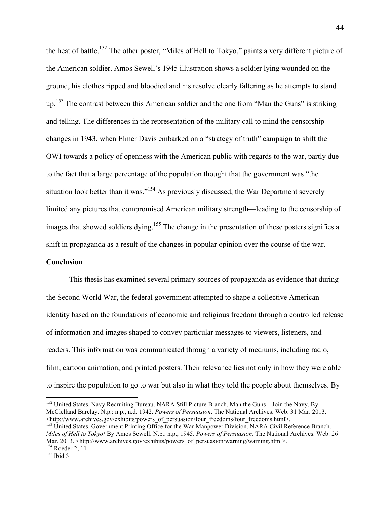the heat of battle.152 The other poster, "Miles of Hell to Tokyo," paints a very different picture of the American soldier. Amos Sewell's 1945 illustration shows a soldier lying wounded on the ground, his clothes ripped and bloodied and his resolve clearly faltering as he attempts to stand up.<sup>153</sup> The contrast between this American soldier and the one from "Man the Guns" is striking and telling. The differences in the representation of the military call to mind the censorship changes in 1943, when Elmer Davis embarked on a "strategy of truth" campaign to shift the OWI towards a policy of openness with the American public with regards to the war, partly due to the fact that a large percentage of the population thought that the government was "the situation look better than it was."<sup>154</sup> As previously discussed, the War Department severely limited any pictures that compromised American military strength—leading to the censorship of images that showed soldiers dying.<sup>155</sup> The change in the presentation of these posters signifies a shift in propaganda as a result of the changes in popular opinion over the course of the war.

#### **Conclusion**

This thesis has examined several primary sources of propaganda as evidence that during the Second World War, the federal government attempted to shape a collective American identity based on the foundations of economic and religious freedom through a controlled release of information and images shaped to convey particular messages to viewers, listeners, and readers. This information was communicated through a variety of mediums, including radio, film, cartoon animation, and printed posters. Their relevance lies not only in how they were able to inspire the population to go to war but also in what they told the people about themselves. By

<sup>&</sup>lt;sup>152</sup> United States. Navy Recruiting Bureau. NARA Still Picture Branch. Man the Guns—Join the Navy. By McClelland Barclay. N.p.: n.p., n.d. 1942. *Powers of Persuasion*. The National Archives. Web. 31 Mar. 2013.  $\langle$ http://www.archives.gov/exhibits/powers of persuasion/four freedoms/four freedoms.html>.

<sup>&</sup>lt;sup>153</sup> United States. Government Printing Office for the War Manpower Division. NARA Civil Reference Branch. *Miles of Hell to Tokyo!* By Amos Sewell. N.p.: n.p., 1945. *Powers of Persuasion*. The National Archives. Web. 26 Mar. 2013. <http://www.archives.gov/exhibits/powers\_of\_persuasion/warning/warning.html>.<br>
<sup>154</sup> Roeder 2; 11<br>
<sup>155</sup> Ibid 3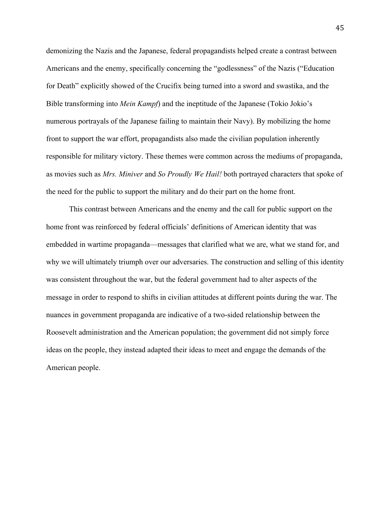demonizing the Nazis and the Japanese, federal propagandists helped create a contrast between Americans and the enemy, specifically concerning the "godlessness" of the Nazis ("Education for Death" explicitly showed of the Crucifix being turned into a sword and swastika, and the Bible transforming into *Mein Kampf*) and the ineptitude of the Japanese (Tokio Jokio's numerous portrayals of the Japanese failing to maintain their Navy). By mobilizing the home front to support the war effort, propagandists also made the civilian population inherently responsible for military victory. These themes were common across the mediums of propaganda, as movies such as *Mrs. Miniver* and *So Proudly We Hail!* both portrayed characters that spoke of the need for the public to support the military and do their part on the home front.

This contrast between Americans and the enemy and the call for public support on the home front was reinforced by federal officials' definitions of American identity that was embedded in wartime propaganda—messages that clarified what we are, what we stand for, and why we will ultimately triumph over our adversaries. The construction and selling of this identity was consistent throughout the war, but the federal government had to alter aspects of the message in order to respond to shifts in civilian attitudes at different points during the war. The nuances in government propaganda are indicative of a two-sided relationship between the Roosevelt administration and the American population; the government did not simply force ideas on the people, they instead adapted their ideas to meet and engage the demands of the American people.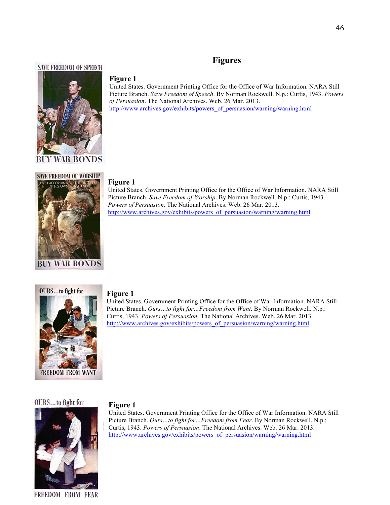## **Figures**

#### **SAVE FREEDOM OF SPEECH**



#### **Figure 1**

United States. Government Printing Office for the Office of War Information. NARA Still Picture Branch. *Save Freedom of Speech*. By Norman Rockwell. N.p.: Curtis, 1943. *Powers of Persuasion*. The National Archives. Web. 26 Mar. 2013. http://www.archives.gov/exhibits/powers\_of\_persuasion/warning/warning.html



#### **Figure 1**

United States. Government Printing Office for the Office of War Information. NARA Still Picture Branch. *Save Freedom of Worship*. By Norman Rockwell. N.p.: Curtis, 1943. *Powers of Persuasion*. The National Archives. Web. 26 Mar. 2013. http://www.archives.gov/exhibits/powers\_of\_persuasion/warning/warning.html



#### **Figure 1**

**Figure 1**

United States. Government Printing Office for the Office of War Information. NARA Still Picture Branch. *Ours…to fight for…Freedom from Want*. By Norman Rockwell. N.p.: Curtis, 1943. *Powers of Persuasion*. The National Archives. Web. 26 Mar. 2013. http://www.archives.gov/exhibits/powers\_of\_persuasion/warning/warning.html

#### OURS...to fight for



United States. Government Printing Office for the Office of War Information. NARA Still Picture Branch. *Ours…to fight for…Freedom from Fear*. By Norman Rockwell. N.p.: Curtis, 1943. *Powers of Persuasion*. The National Archives. Web. 26 Mar. 2013. http://www.archives.gov/exhibits/powers\_of\_persuasion/warning/warning.html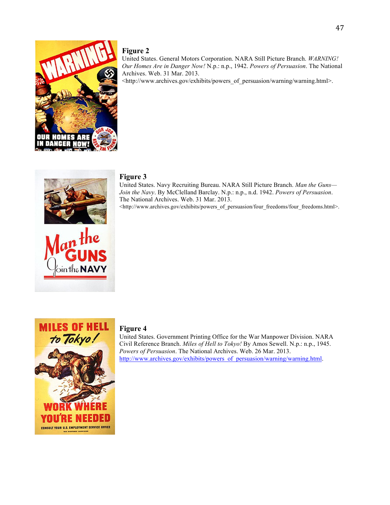

### **Figure 2**

United States. General Motors Corporation. NARA Still Picture Branch. *WARNING! Our Homes Are in Danger Now!* N.p.: n.p., 1942. *Powers of Persuasion*. The National Archives. Web. 31 Mar. 2013.

<http://www.archives.gov/exhibits/powers\_of\_persuasion/warning/warning.html>.



ointhe **NA** 

#### **Figure 3**

United States. Navy Recruiting Bureau. NARA Still Picture Branch. *Man the Guns— Join the Navy*. By McClelland Barclay. N.p.: n.p., n.d. 1942. *Powers of Persuasion*. The National Archives. Web. 31 Mar. 2013.

<http://www.archives.gov/exhibits/powers\_of\_persuasion/four\_freedoms/four\_freedoms.html>.



#### **Figure 4**

United States. Government Printing Office for the War Manpower Division. NARA Civil Reference Branch. *Miles of Hell to Tokyo!* By Amos Sewell. N.p.: n.p., 1945. *Powers of Persuasion*. The National Archives. Web. 26 Mar. 2013. http://www.archives.gov/exhibits/powers\_of\_persuasion/warning/warning.html.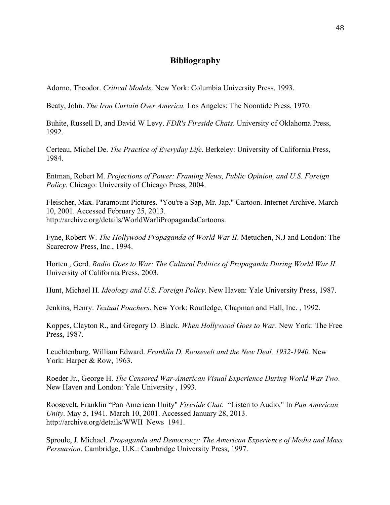### **Bibliography**

Adorno, Theodor. *Critical Models*. New York: Columbia University Press, 1993.

Beaty, John. *The Iron Curtain Over America.* Los Angeles: The Noontide Press, 1970.

Buhite, Russell D, and David W Levy. *FDR's Fireside Chats*. University of Oklahoma Press, 1992.

Certeau, Michel De. *The Practice of Everyday Life*. Berkeley: University of California Press, 1984.

Entman, Robert M. *Projections of Power: Framing News, Public Opinion, and U.S. Foreign Policy*. Chicago: University of Chicago Press, 2004.

Fleischer, Max. Paramount Pictures. "You're a Sap, Mr. Jap." Cartoon. Internet Archive. March 10, 2001. Accessed February 25, 2013. http://archive.org/details/WorldWarIiPropagandaCartoons.

Fyne, Robert W. *The Hollywood Propaganda of World War II*. Metuchen, N.J and London: The Scarecrow Press, Inc., 1994.

Horten , Gerd. *Radio Goes to War: The Cultural Politics of Propaganda During World War II*. University of California Press, 2003.

Hunt, Michael H. *Ideology and U.S. Foreign Policy*. New Haven: Yale University Press, 1987.

Jenkins, Henry. *Textual Poachers*. New York: Routledge, Chapman and Hall, Inc. , 1992.

Koppes, Clayton R., and Gregory D. Black. *When Hollywood Goes to War*. New York: The Free Press, 1987.

Leuchtenburg, William Edward. *Franklin D. Roosevelt and the New Deal, 1932-1940.* New York: Harper & Row, 1963.

Roeder Jr., George H. *The Censored War-American Visual Experience During World War Two*. New Haven and London: Yale University , 1993.

Roosevelt, Franklin "Pan American Unity" *Fireside Chat*. "Listen to Audio." In *Pan American Unity*. May 5, 1941. March 10, 2001. Accessed January 28, 2013. http://archive.org/details/WWII\_News\_1941.

Sproule, J. Michael. *Propaganda and Democracy: The American Experience of Media and Mass Persuasion*. Cambridge, U.K.: Cambridge University Press, 1997.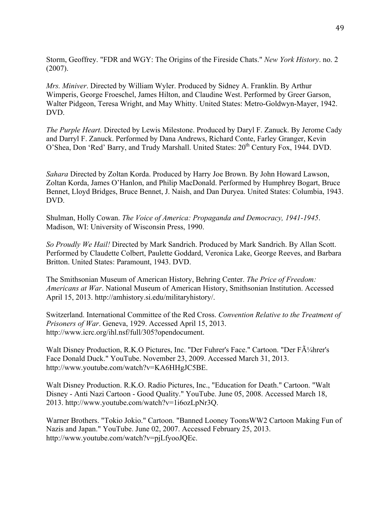Storm, Geoffrey. "FDR and WGY: The Origins of the Fireside Chats." *New York History*. no. 2 (2007).

*Mrs. Miniver*. Directed by William Wyler. Produced by Sidney A. Franklin. By Arthur Wimperis, George Froeschel, James Hilton, and Claudine West. Performed by Greer Garson, Walter Pidgeon, Teresa Wright, and May Whitty. United States: Metro-Goldwyn-Mayer, 1942. DVD.

*The Purple Heart.* Directed by Lewis Milestone. Produced by Daryl F. Zanuck. By Jerome Cady and Darryl F. Zanuck. Performed by Dana Andrews, Richard Conte, Farley Granger, Kevin O'Shea, Don 'Red' Barry, and Trudy Marshall. United States:  $20^{th}$  Century Fox, 1944. DVD.

*Sahara* Directed by Zoltan Korda. Produced by Harry Joe Brown. By John Howard Lawson, Zoltan Korda, James O'Hanlon, and Philip MacDonald. Performed by Humphrey Bogart, Bruce Bennet, Lloyd Bridges, Bruce Bennet, J. Naish, and Dan Duryea. United States: Columbia, 1943. DVD.

Shulman, Holly Cowan. *The Voice of America: Propaganda and Democracy, 1941-1945*. Madison, WI: University of Wisconsin Press, 1990.

*So Proudly We Hail!* Directed by Mark Sandrich. Produced by Mark Sandrich. By Allan Scott. Performed by Claudette Colbert, Paulette Goddard, Veronica Lake, George Reeves, and Barbara Britton. United States: Paramount, 1943. DVD.

The Smithsonian Museum of American History, Behring Center. *The Price of Freedom: Americans at War*. National Museum of American History, Smithsonian Institution. Accessed April 15, 2013. http://amhistory.si.edu/militaryhistory/.

Switzerland. International Committee of the Red Cross. *Convention Relative to the Treatment of Prisoners of War*. Geneva, 1929. Accessed April 15, 2013. http://www.icrc.org/ihl.nsf/full/305?opendocument.

Walt Disney Production, R.K.O Pictures, Inc. "Der Fuhrer's Face." Cartoon. "Der Führer's Face Donald Duck." YouTube. November 23, 2009. Accessed March 31, 2013. http://www.youtube.com/watch?v=KA6HHgJC5BE.

Walt Disney Production. R.K.O. Radio Pictures, Inc., "Education for Death." Cartoon. "Walt Disney - Anti Nazi Cartoon - Good Quality." YouTube. June 05, 2008. Accessed March 18, 2013. http://www.youtube.com/watch?v=1i6ozLpNr3Q.

Warner Brothers. "Tokio Jokio." Cartoon. "Banned Looney ToonsWW2 Cartoon Making Fun of Nazis and Japan." YouTube. June 02, 2007. Accessed February 25, 2013. http://www.youtube.com/watch?v=pjLfyooJQEc.